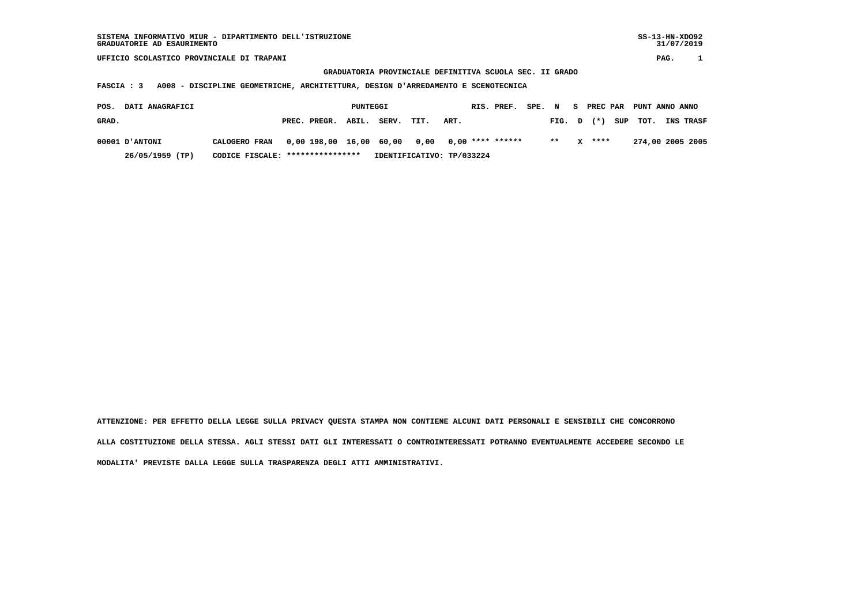**GRADUATORIA PROVINCIALE DEFINITIVA SCUOLA SEC. II GRADO**

 **FASCIA : 3 A008 - DISCIPLINE GEOMETRICHE, ARCHITETTURA, DESIGN D'ARREDAMENTO E SCENOTECNICA**

| POS.  | DATI ANAGRAFICI |                                  |              | PUNTEGGI |                                                       |      |      | RIS. PREF. | SPE. N |                |               | S PREC PAR PUNT ANNO ANNO |                  |
|-------|-----------------|----------------------------------|--------------|----------|-------------------------------------------------------|------|------|------------|--------|----------------|---------------|---------------------------|------------------|
| GRAD. |                 |                                  | PREC. PREGR. | ABIL.    | SERV.                                                 | TIT. | ART. |            |        | FIG. D (*) SUP |               | тот.                      | <b>INS TRASF</b> |
|       | 00001 D'ANTONI  | CALOGERO FRAN                    |              |          | $0.00\,198.00\,16.00\,60.00\,0.00\,0.00\,***$ ******* |      |      |            |        | **             | <b>Y</b> **** |                           | 274,00 2005 2005 |
|       | 26/05/1959 (TP) | CODICE FISCALE: **************** |              |          | IDENTIFICATIVO: TP/033224                             |      |      |            |        |                |               |                           |                  |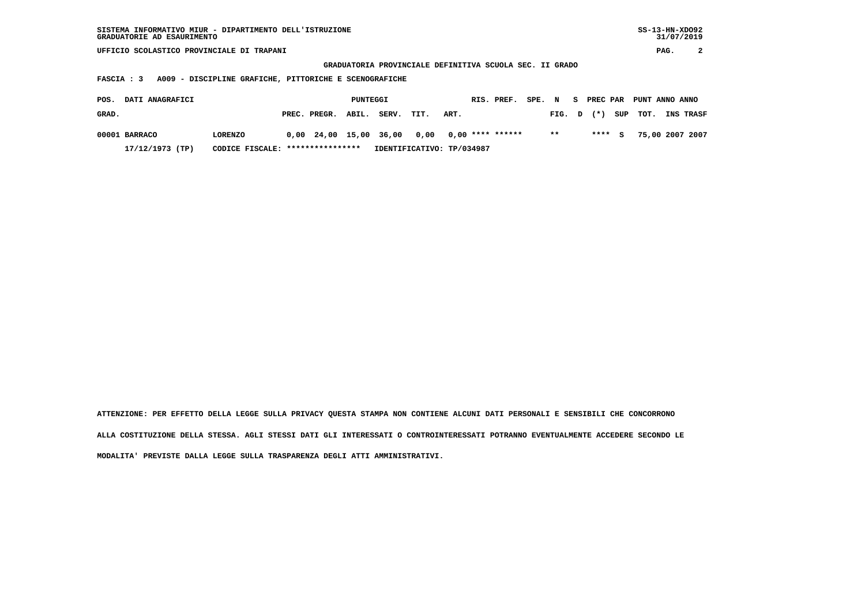| SISTEMA INFORMATIVO MIUR - DIPARTIMENTO DELL'ISTRUZIONE | $SS-13-HN-XDO92$ |
|---------------------------------------------------------|------------------|
| GRADUATORIE AD ESAURIMENTO                              | 31/07/2019       |

 **GRADUATORIA PROVINCIALE DEFINITIVA SCUOLA SEC. II GRADO**

 **FASCIA : 3 A009 - DISCIPLINE GRAFICHE, PITTORICHE E SCENOGRAFICHE**

| POS.  | <b>DATI ANAGRAFICI</b> |                                  |                    | PUNTEGGI |       |                                                |      | RIS. PREF. | SPE. N |        |          | S PREC PAR PUNT ANNO ANNO |                  |
|-------|------------------------|----------------------------------|--------------------|----------|-------|------------------------------------------------|------|------------|--------|--------|----------|---------------------------|------------------|
| GRAD. |                        |                                  | PREC. PREGR. ABIL. |          | SERV. | TIT.                                           | ART. |            |        | FIG. D | $(* )$   | SUP TOT.                  | <b>INS TRASF</b> |
|       | 00001 BARRACO          | <b>LORENZO</b>                   |                    |          |       | $0.00$ 24.00 15.00 36.00 0.00 0.00 **** ****** |      |            |        | $* *$  | **** $S$ |                           | 75,00 2007 2007  |
|       | 17/12/1973 (TP)        | CODICE FISCALE: **************** |                    |          |       | IDENTIFICATIVO: TP/034987                      |      |            |        |        |          |                           |                  |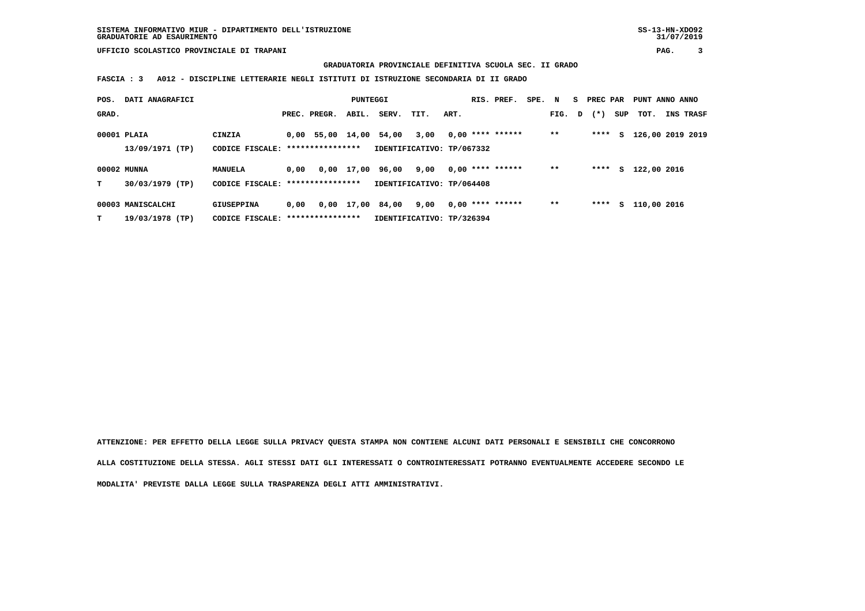**GRADUATORIA PROVINCIALE DEFINITIVA SCUOLA SEC. II GRADO**

 **FASCIA : 3 A012 - DISCIPLINE LETTERARIE NEGLI ISTITUTI DI ISTRUZIONE SECONDARIA DI II GRADO**

| POS.  | DATI ANAGRAFICI                |                                             |      |                  | PUNTEGGI     |       |                                   |      | RIS. PREF.         | SPE. N |        | s. | PREC PAR |     | PUNT ANNO ANNO   |                  |
|-------|--------------------------------|---------------------------------------------|------|------------------|--------------|-------|-----------------------------------|------|--------------------|--------|--------|----|----------|-----|------------------|------------------|
| GRAD. |                                |                                             |      | PREC. PREGR.     | ABIL.        | SERV. | TIT.                              | ART. |                    |        | FIG. D |    | $(* )$   | SUP | тот.             | <b>INS TRASF</b> |
|       | 00001 PLAIA<br>13/09/1971 (TP) | CINZIA<br>CODICE FISCALE: ***************** |      | 0,00 55,00 14,00 |              | 54,00 | 3,00<br>IDENTIFICATIVO: TP/067332 |      | $0.00$ **** ****** |        | $* *$  |    | ****     | s   | 126,00 2019 2019 |                  |
|       |                                |                                             |      |                  |              |       |                                   |      |                    |        |        |    |          |     |                  |                  |
|       | 00002 MUNNA                    | MANUELA                                     | 0,00 |                  | $0.00$ 17.00 | 96,00 | 9,00                              |      | $0.00$ **** ****** |        | $* *$  |    | ****     | s   | 122,00 2016      |                  |
| т     | 30/03/1979 (TP)                | CODICE FISCALE: ****************            |      |                  |              |       | IDENTIFICATIVO: TP/064408         |      |                    |        |        |    |          |     |                  |                  |
|       | 00003 MANISCALCHI              | GIUSEPPINA                                  | 0.00 | 0,00             | 17,00        | 84,00 | 9,00                              |      | $0.00$ **** ****** |        | $* *$  |    | ****     | S.  | 110,00 2016      |                  |
| т     | 19/03/1978 (TP)                | CODICE FISCALE:                             |      | **************** |              |       | IDENTIFICATIVO: TP/326394         |      |                    |        |        |    |          |     |                  |                  |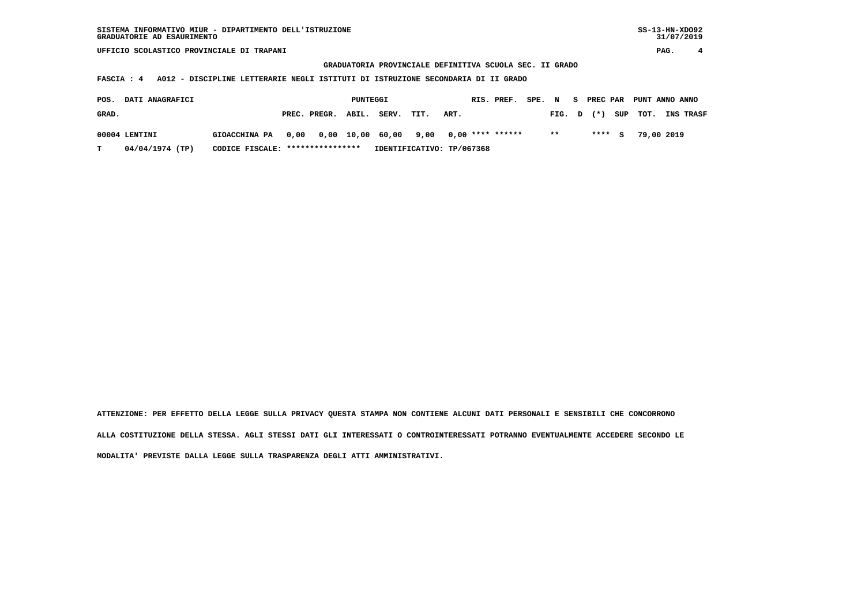**GRADUATORIA PROVINCIALE DEFINITIVA SCUOLA SEC. II GRADO**

 **FASCIA : 4 A012 - DISCIPLINE LETTERARIE NEGLI ISTITUTI DI ISTRUZIONE SECONDARIA DI II GRADO**

| POS.  | <b>DATI ANAGRAFICI</b> |                                                           |                    | PUNTEGGI |       |      |                           | RIS. PREF. |        |        |                    | SPE. N S PREC PAR PUNT ANNO ANNO |
|-------|------------------------|-----------------------------------------------------------|--------------------|----------|-------|------|---------------------------|------------|--------|--------|--------------------|----------------------------------|
| GRAD. |                        |                                                           | PREC. PREGR. ABIL. |          | SERV. | TIT. | ART.                      |            | FIG. D |        | $(\star)$ SUP TOT. | <b>INS TRASF</b>                 |
|       | 00004 LENTINI          | GIOACCHINA PA 0,00 0,00 10,00 60,00 9,00 0,00 **** ****** |                    |          |       |      |                           |            | $* *$  | **** S |                    | 79,00 2019                       |
| T     | 04/04/1974 (TP)        | CODICE FISCALE: ****************                          |                    |          |       |      | IDENTIFICATIVO: TP/067368 |            |        |        |                    |                                  |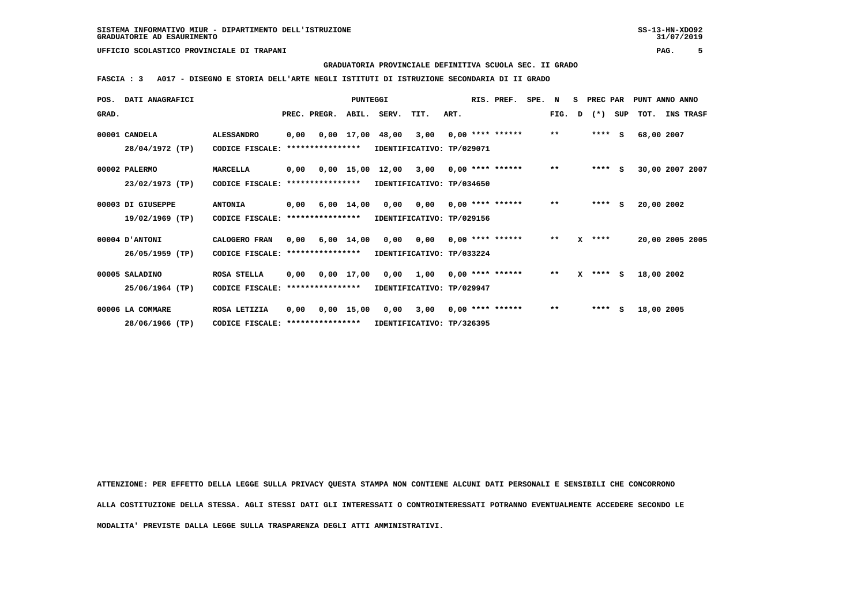**GRADUATORIA PROVINCIALE DEFINITIVA SCUOLA SEC. II GRADO**

 **FASCIA : 3 A017 - DISEGNO E STORIA DELL'ARTE NEGLI ISTITUTI DI ISTRUZIONE SECONDARIA DI II GRADO**

| POS.  | <b>DATI ANAGRAFICI</b> |                   |      |                  | PUNTEGGI     |                       |                           |      | RIS. PREF.         | SPE. | N     | s | PREC PAR   |     | PUNT ANNO ANNO  |           |
|-------|------------------------|-------------------|------|------------------|--------------|-----------------------|---------------------------|------|--------------------|------|-------|---|------------|-----|-----------------|-----------|
| GRAD. |                        |                   |      | PREC. PREGR.     | ABIL.        | SERV.                 | TIT.                      | ART. |                    |      | FIG.  | D | $(*)$      | SUP | TOT.            | INS TRASF |
|       | 00001 CANDELA          | <b>ALESSANDRO</b> | 0,00 |                  | 0,00 17,00   | 48,00                 | 3,00                      |      | $0,00$ **** ****** |      | $***$ |   | ****       | s   | 68,00 2007      |           |
|       | 28/04/1972 (TP)        | CODICE FISCALE:   |      | **************** |              |                       | IDENTIFICATIVO: TP/029071 |      |                    |      |       |   |            |     |                 |           |
|       | 00002 PALERMO          | <b>MARCELLA</b>   | 0,00 |                  |              | 0,00 15,00 12,00 3,00 |                           |      | $0.00$ **** ****** |      | $***$ |   | ****       | s   | 30,00 2007 2007 |           |
|       | 23/02/1973 (TP)        | CODICE FISCALE:   |      | **************** |              |                       | IDENTIFICATIVO: TP/034650 |      |                    |      |       |   |            |     |                 |           |
|       | 00003 DI GIUSEPPE      | <b>ANTONIA</b>    | 0,00 |                  | $6,00$ 14,00 | 0,00                  | 0,00                      |      | $0,00$ **** ****** |      | $***$ |   | $***$ S    |     | 20,00 2002      |           |
|       | 19/02/1969 (TP)        | CODICE FISCALE:   |      | **************** |              |                       | IDENTIFICATIVO: TP/029156 |      |                    |      |       |   |            |     |                 |           |
|       | 00004 D'ANTONI         | CALOGERO FRAN     | 0,00 |                  | 6,00 14,00   | 0,00                  | 0,00                      |      | $0.00$ **** ****** |      | $***$ |   | $X$ ****   |     | 20,00 2005 2005 |           |
|       | 26/05/1959 (TP)        | CODICE FISCALE:   |      | **************** |              |                       | IDENTIFICATIVO: TP/033224 |      |                    |      |       |   |            |     |                 |           |
|       | 00005 SALADINO         | ROSA STELLA       | 0,00 |                  | 0,00 17,00   | 0,00                  | 1,00                      |      | $0.00$ **** ****** |      | $***$ |   | $X$ **** S |     | 18,00 2002      |           |
|       | 25/06/1964 (TP)        | CODICE FISCALE:   |      | **************** |              |                       | IDENTIFICATIVO: TP/029947 |      |                    |      |       |   |            |     |                 |           |
|       | 00006 LA COMMARE       | ROSA LETIZIA      | 0,00 |                  | $0,00$ 15,00 | 0,00                  | 3,00                      |      | $0,00$ **** ****** |      | $***$ |   | ****       | s   | 18,00 2005      |           |
|       | 28/06/1966 (TP)        | CODICE FISCALE:   |      | **************** |              |                       | IDENTIFICATIVO: TP/326395 |      |                    |      |       |   |            |     |                 |           |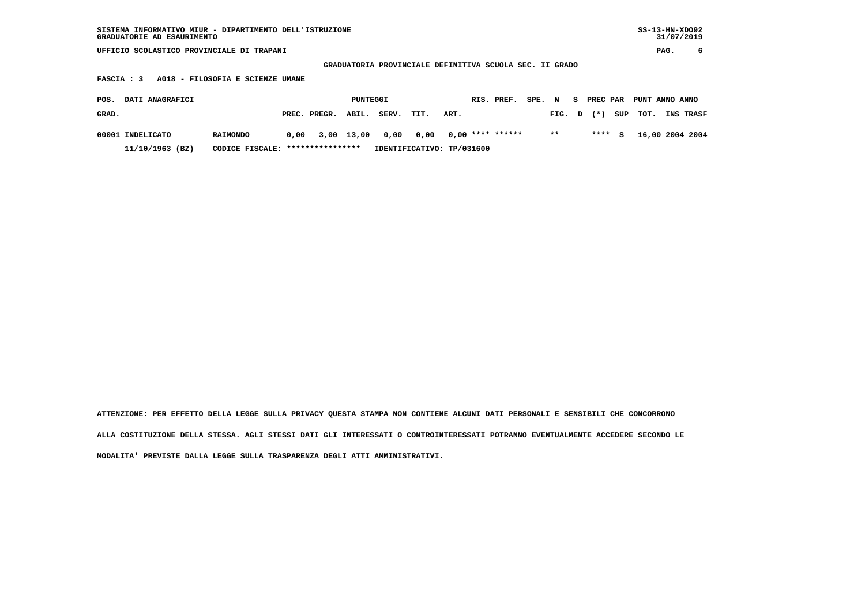| SISTEMA INFORMATIVO MIUR - DIPARTIMENTO DELL'ISTRUZIONE | $SS-13-HN-XDO92$ |
|---------------------------------------------------------|------------------|
| GRADUATORIE AD ESAURIMENTO                              | 31/07/2019       |

 **GRADUATORIA PROVINCIALE DEFINITIVA SCUOLA SEC. II GRADO**

 **FASCIA : 3 A018 - FILOSOFIA E SCIENZE UMANE**

| POS.  | <b>DATI ANAGRAFICI</b> |                                  |              | PUNTEGGI |                                              |                           |      | RIS. PREF. | SPE. N |       | S PREC PAR |         | PUNT ANNO ANNO          |                  |
|-------|------------------------|----------------------------------|--------------|----------|----------------------------------------------|---------------------------|------|------------|--------|-------|------------|---------|-------------------------|------------------|
| GRAD. |                        |                                  | PREC. PREGR. | ABIL.    | SERV.                                        | TIT.                      | ART. |            |        |       |            |         | FIG. $D$ $(*)$ SUP TOT. | <b>INS TRASF</b> |
|       | 00001 INDELICATO       | <b>RAIMONDO</b>                  |              |          | $0,00$ 3,00 13,00 0,00 0,00 0,00 **** ****** |                           |      |            |        | $***$ |            | $***$ S |                         | 16,00 2004 2004  |
|       | 11/10/1963 (BZ)        | CODICE FISCALE: **************** |              |          |                                              | IDENTIFICATIVO: TP/031600 |      |            |        |       |            |         |                         |                  |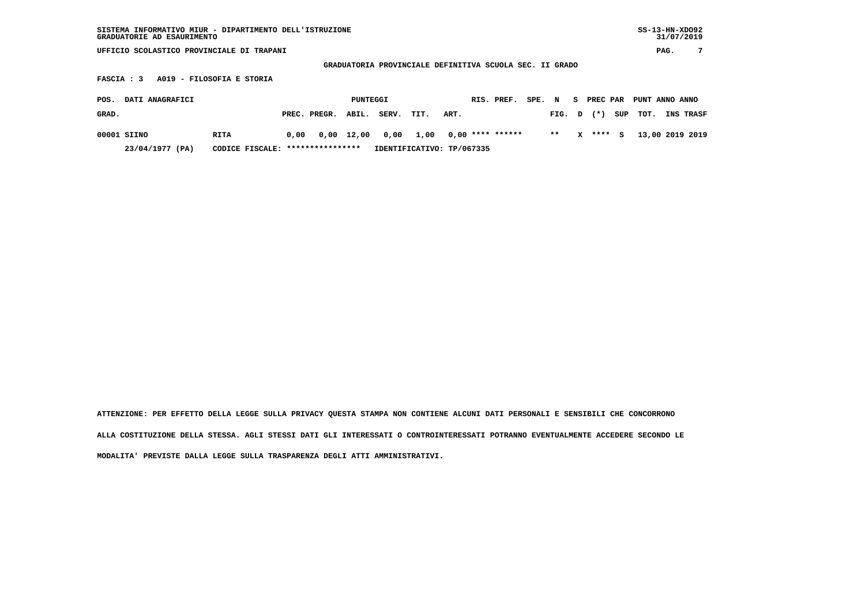| SISTEMA INFORMATIVO MIUR - DIPARTIMENTO DELL'ISTRUZIONE<br>GRADUATORIE AD ESAURIMENTO |      |              |              |                                                         |      |      |                    |        |        |    |                 |     |                |      | $SS-13-HN-XDO92$<br>31/07/2019 |
|---------------------------------------------------------------------------------------|------|--------------|--------------|---------------------------------------------------------|------|------|--------------------|--------|--------|----|-----------------|-----|----------------|------|--------------------------------|
| UFFICIO SCOLASTICO PROVINCIALE DI TRAPANI                                             |      |              |              |                                                         |      |      |                    |        |        |    |                 |     |                | PAG. |                                |
|                                                                                       |      |              |              | GRADUATORIA PROVINCIALE DEFINITIVA SCUOLA SEC. II GRADO |      |      |                    |        |        |    |                 |     |                |      |                                |
| A019 - FILOSOFIA E STORIA<br>FASCIA : 3                                               |      |              |              |                                                         |      |      |                    |        |        |    |                 |     |                |      |                                |
| DATI ANAGRAFICI<br>POS.                                                               |      |              | PUNTEGGI     |                                                         |      |      | RIS. PREF.         | SPE. N |        | s. | <b>PREC PAR</b> |     | PUNT ANNO ANNO |      |                                |
| GRAD.                                                                                 |      | PREC. PREGR. | ABIL.        | SERV.                                                   | TIT. | ART. |                    |        | FIG. D |    | $(* )$          | SUP | TOT.           |      | INS TRASF                      |
| 00001 SIINO<br>RITA                                                                   | 0,00 |              | $0,00$ 12,00 | 0,00                                                    | 1,00 |      | $0,00$ **** ****** |        | $* *$  | x  | ****            | s   |                |      | 13,00 2019 2019                |

 **23/04/1977 (PA) CODICE FISCALE: \*\*\*\*\*\*\*\*\*\*\*\*\*\*\*\* IDENTIFICATIVO: TP/067335**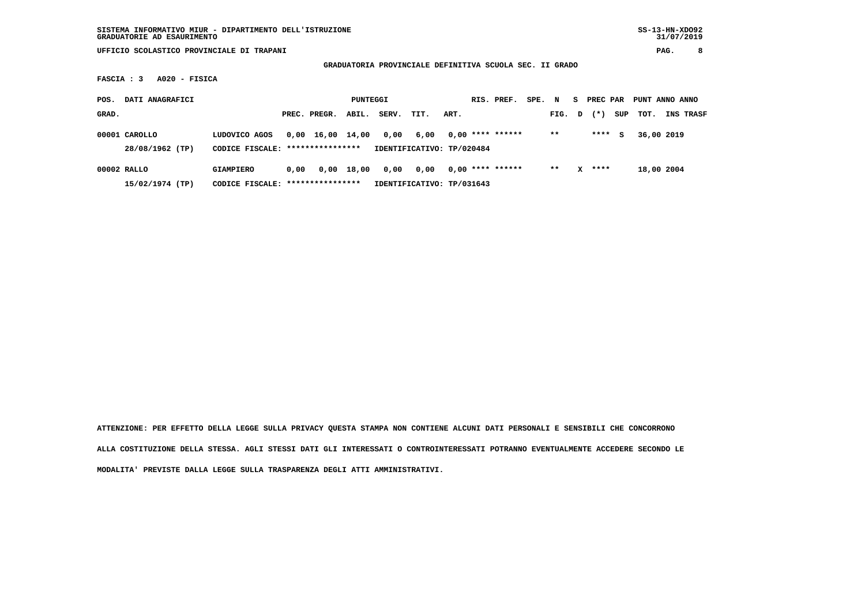**GRADUATORIA PROVINCIALE DEFINITIVA SCUOLA SEC. II GRADO**

 **FASCIA : 3 A020 - FISICA**

| POS.  | DATI ANAGRAFICI                  |                                                       |      |              | PUNTEGGI   |       |                                   |      | RIS. PREF.         | SPE. N |        | S. | PREC PAR |     | PUNT ANNO ANNO |                  |
|-------|----------------------------------|-------------------------------------------------------|------|--------------|------------|-------|-----------------------------------|------|--------------------|--------|--------|----|----------|-----|----------------|------------------|
| GRAD. |                                  |                                                       |      | PREC. PREGR. | ABIL.      | SERV. | TIT.                              | ART. |                    |        | FIG. D |    | $(* )$   | SUP | тот.           | <b>INS TRASF</b> |
|       | 00001 CAROLLO<br>28/08/1962 (TP) | LUDOVICO AGOS<br>CODICE FISCALE: ****************     | 0,00 | 16,00 14,00  |            | 0,00  | 6,00<br>IDENTIFICATIVO: TP/020484 |      | $0,00$ **** ****** |        | $***$  |    | ****     | s   | 36,00 2019     |                  |
|       | 00002 RALLO<br>15/02/1974 (TP)   | <b>GIAMPIERO</b><br>CODICE FISCALE: ***************** | 0.00 |              | 0,00 18,00 | 0,00  | 0.00<br>IDENTIFICATIVO: TP/031643 |      | $0.00$ **** ****** |        | $**$   | x  | ****     |     | 18,00 2004     |                  |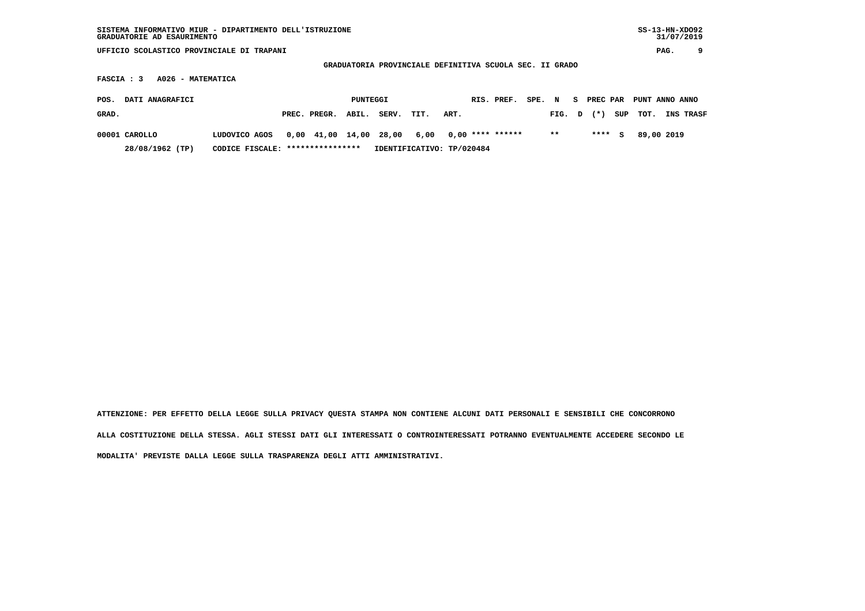| SISTEMA INFORMATIVO MIUR - DIPARTIMENTO DELL'ISTRUZIONE<br>GRADUATORIE AD ESAURIMENTO |                 |                       |                           |                                                         |        |               | $SS-13-HN-XDO92$<br>31/07/2019 |
|---------------------------------------------------------------------------------------|-----------------|-----------------------|---------------------------|---------------------------------------------------------|--------|---------------|--------------------------------|
| UFFICIO SCOLASTICO PROVINCIALE DI TRAPANI                                             |                 |                       |                           |                                                         |        |               | 9<br>PAG.                      |
|                                                                                       |                 |                       |                           | GRADUATORIA PROVINCIALE DEFINITIVA SCUOLA SEC. II GRADO |        |               |                                |
| A026 - MATEMATICA<br>FASCIA : 3                                                       |                 |                       |                           |                                                         |        |               |                                |
| DATI ANAGRAFICI<br>POS.                                                               |                 | PUNTEGGI              |                           | RIS. PREF.                                              | SPE. N | S PREC PAR    | PUNT ANNO ANNO                 |
| GRAD.                                                                                 |                 | PREC. PREGR.<br>ABIL. | SERV.<br>TIT.             | ART.                                                    | FIG. D | $(* )$<br>SUP | TOT.<br>INS TRASF              |
| 00001 CAROLLO                                                                         | LUDOVICO AGOS   | 0,00 41,00 14,00      | 28,00<br>6,00             | $0.00$ **** ******                                      | $* *$  | ****<br>s     | 89,00 2019                     |
| 28/08/1962 (TP)                                                                       | CODICE FISCALE: | ****************      | IDENTIFICATIVO: TP/020484 |                                                         |        |               |                                |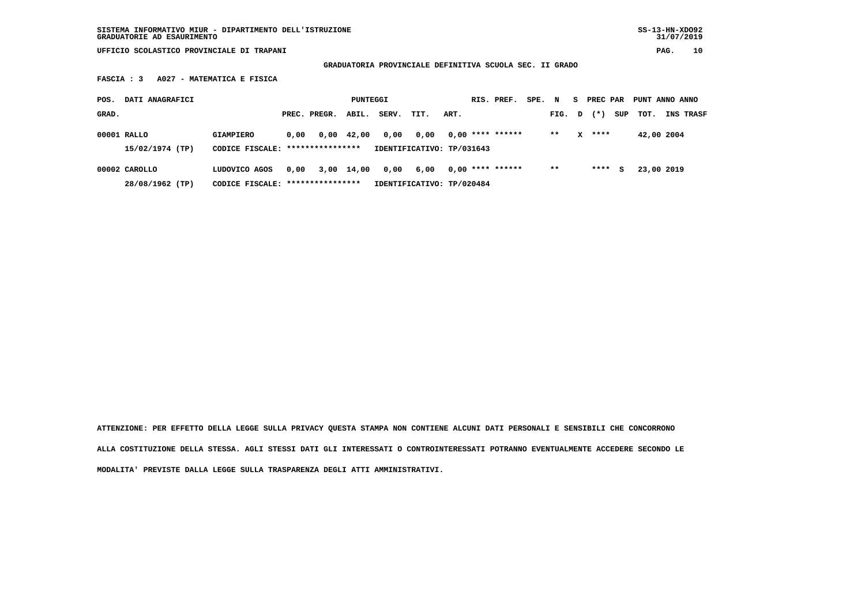**GRADUATORIA PROVINCIALE DEFINITIVA SCUOLA SEC. II GRADO**

 **FASCIA : 3 A027 - MATEMATICA E FISICA**

| POS.          | DATI ANAGRAFICI |                                                      |      |              | PUNTEGGI   |       |                                   |      | RIS. PREF.         | SPE. N |        | S. | PREC PAR |     | PUNT ANNO ANNO |                  |
|---------------|-----------------|------------------------------------------------------|------|--------------|------------|-------|-----------------------------------|------|--------------------|--------|--------|----|----------|-----|----------------|------------------|
| GRAD.         |                 |                                                      |      | PREC. PREGR. | ABIL.      | SERV. | TIT.                              | ART. |                    |        | FIG. D |    | $(* )$   | SUP | TOT.           | <b>INS TRASF</b> |
| 00001 RALLO   | 15/02/1974 (TP) | <b>GIAMPIERO</b><br>CODICE FISCALE: **************** | 0.00 |              | 0,00 42,00 | 0,00  | 0.00<br>IDENTIFICATIVO: TP/031643 |      | $0,00$ **** ****** |        | $**$   | x  | ****     |     | 42,00 2004     |                  |
| 00002 CAROLLO | 28/08/1962 (TP) | LUDOVICO AGOS<br>CODICE FISCALE: *****************   | 0.00 |              | 3,00 14,00 | 0,00  | 6,00<br>IDENTIFICATIVO: TP/020484 |      | $0.00$ **** ****** |        | $* *$  |    | ****     | s   | 23,00 2019     |                  |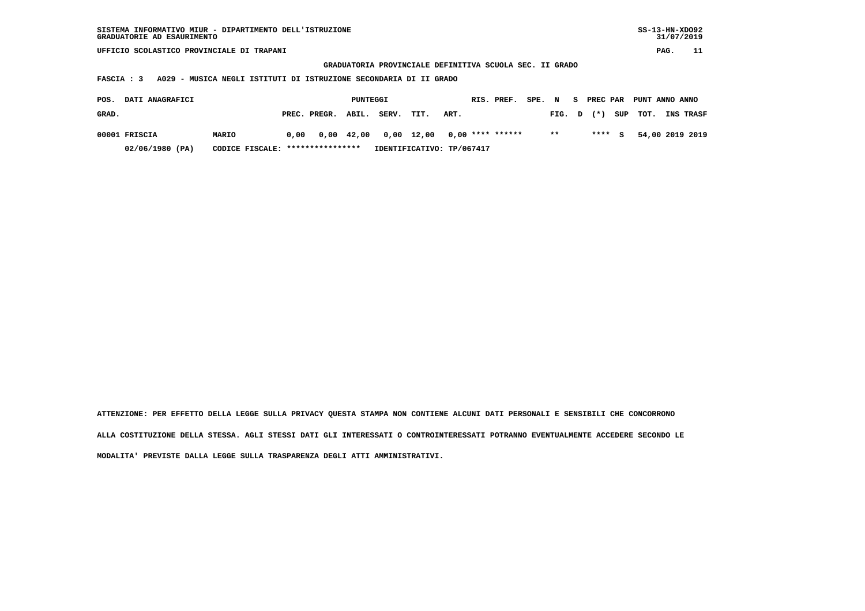| SISTEMA INFORMATIVO MIUR - DIPARTIMENTO DELL'ISTRUZIONE | SS-13-HN-XD092 |
|---------------------------------------------------------|----------------|
| GRADUATORIE AD ESAURIMENTO                              | 31/07/2019     |

 **GRADUATORIA PROVINCIALE DEFINITIVA SCUOLA SEC. II GRADO**

 **FASCIA : 3 A029 - MUSICA NEGLI ISTITUTI DI ISTRUZIONE SECONDARIA DI II GRADO**

| POS.  | <b>DATI ANAGRAFICI</b> |                                  |      |                    | PUNTEGGI |       |                                        |      | RIS. PREF. | SPE. N |        |  |        | S PREC PAR PUNT ANNO ANNO |                  |
|-------|------------------------|----------------------------------|------|--------------------|----------|-------|----------------------------------------|------|------------|--------|--------|--|--------|---------------------------|------------------|
| GRAD. |                        |                                  |      | PREC. PREGR. ABIL. |          | SERV. | TIT.                                   | ART. |            |        | FIG. D |  |        | $(*)$ SUP TOT.            | <b>INS TRASF</b> |
|       | 00001 FRISCIA          | <b>MARIO</b>                     | 0.00 |                    |          |       | 0,00 42,00 0,00 12,00 0,00 **** ****** |      |            |        | $* *$  |  | $***5$ |                           | 54,00 2019 2019  |
|       | 02/06/1980 (PA)        | CODICE FISCALE: **************** |      |                    |          |       | IDENTIFICATIVO: TP/067417              |      |            |        |        |  |        |                           |                  |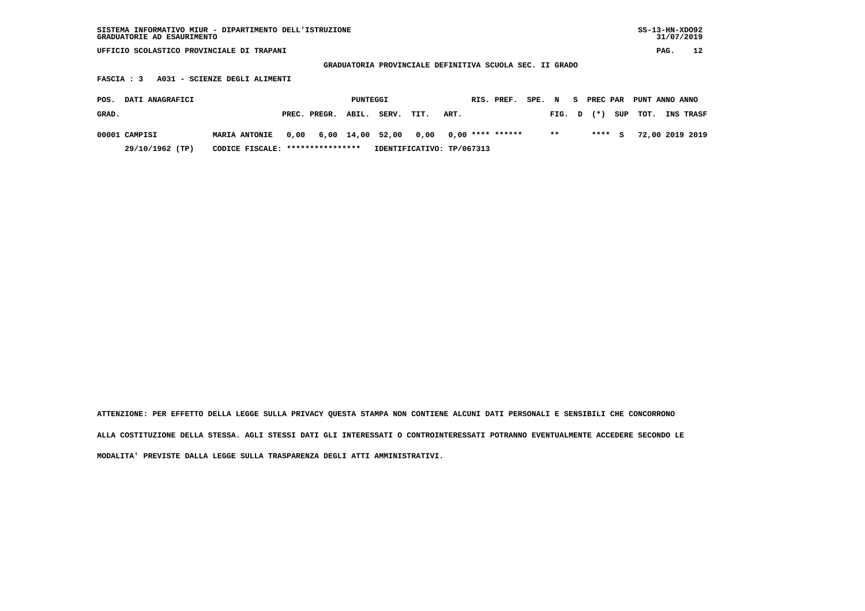| SISTEMA INFORMATIVO MIUR - DIPARTIMENTO DELL'ISTRUZIONE<br>GRADUATORIE AD ESAURIMENTO           |                              |                       |                           |                                                         |        |               | $SS-13-HN-XDO92$<br>31/07/2019 |  |  |  |  |  |  |
|-------------------------------------------------------------------------------------------------|------------------------------|-----------------------|---------------------------|---------------------------------------------------------|--------|---------------|--------------------------------|--|--|--|--|--|--|
| UFFICIO SCOLASTICO PROVINCIALE DI TRAPANI                                                       |                              |                       |                           |                                                         |        |               | 12<br>PAG.                     |  |  |  |  |  |  |
|                                                                                                 |                              |                       |                           | GRADUATORIA PROVINCIALE DEFINITIVA SCUOLA SEC. II GRADO |        |               |                                |  |  |  |  |  |  |
| A031 - SCIENZE DEGLI ALIMENTI<br>FASCIA : 3                                                     |                              |                       |                           |                                                         |        |               |                                |  |  |  |  |  |  |
| DATI ANAGRAFICI<br>RIS. PREF.<br>PREC PAR<br>PUNTEGGI<br>SPE. N<br>S.<br>PUNT ANNO ANNO<br>POS. |                              |                       |                           |                                                         |        |               |                                |  |  |  |  |  |  |
| GRAD.                                                                                           |                              | PREC. PREGR.<br>ABIL. | SERV.<br>TIT.             | ART.                                                    | FIG. D | $(* )$<br>SUP | тот.<br><b>INS TRASF</b>       |  |  |  |  |  |  |
| 00001 CAMPISI                                                                                   | 0,00<br><b>MARIA ANTONIE</b> | 6,00 14,00            | 52,00<br>0,00             | $0.00$ **** ******                                      | $* *$  | ****<br>s     | 72,00 2019 2019                |  |  |  |  |  |  |
| 29/10/1962 (TP)                                                                                 | CODICE FISCALE:              | ****************      | IDENTIFICATIVO: TP/067313 |                                                         |        |               |                                |  |  |  |  |  |  |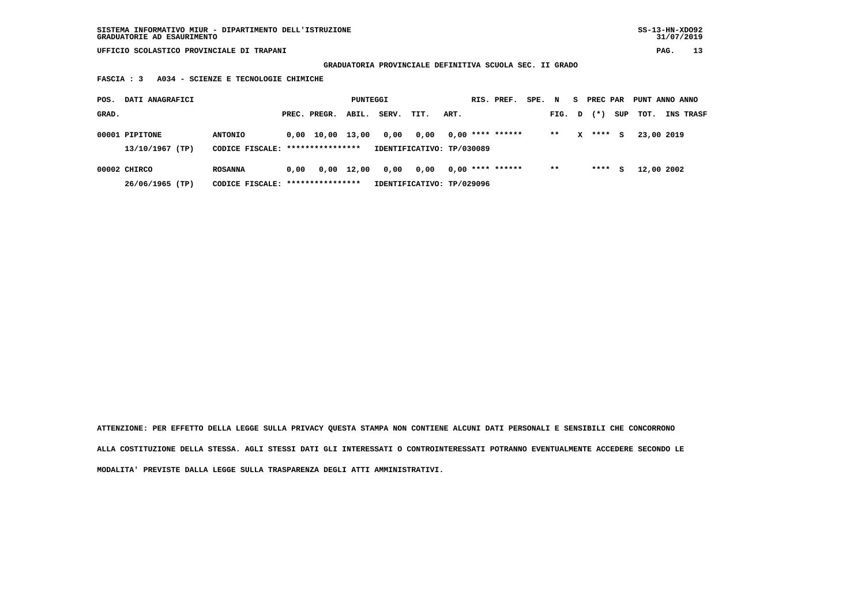# **GRADUATORIA PROVINCIALE DEFINITIVA SCUOLA SEC. II GRADO**

 **FASCIA : 3 A034 - SCIENZE E TECNOLOGIE CHIMICHE**

| POS.  | DATI ANAGRAFICI |                                  |      |                        | PUNTEGGI   |       |                           |      | RIS. PREF.         | SPE. | N     | s. | PREC PAR |     | PUNT ANNO ANNO |           |
|-------|-----------------|----------------------------------|------|------------------------|------------|-------|---------------------------|------|--------------------|------|-------|----|----------|-----|----------------|-----------|
| GRAD. |                 |                                  |      | PREC. PREGR.           | ABIL.      | SERV. | TIT.                      | ART. |                    |      | FIG.  | D  | $(* )$   | SUP | тот.           | INS TRASF |
|       | 00001 PIPITONE  | <b>ANTONIO</b>                   |      | $0,00$ $10,00$ $13,00$ |            | 0,00  | 0,00                      |      | $0.00$ **** ****** |      | $**$  | x  | ****     | s   | 23,00 2019     |           |
|       | 13/10/1967 (TP) | CODICE FISCALE: **************** |      |                        |            |       | IDENTIFICATIVO: TP/030089 |      |                    |      |       |    |          |     |                |           |
|       | 00002 CHIRCO    | <b>ROSANNA</b>                   | 0.00 |                        | 0,00 12,00 | 0,00  | 0,00                      |      | $0.00$ **** ****** |      | $* *$ |    | ****     | s   | 12,00 2002     |           |
|       | 26/06/1965 (TP) | CODICE FISCALE:                  |      | ****************       |            |       | IDENTIFICATIVO: TP/029096 |      |                    |      |       |    |          |     |                |           |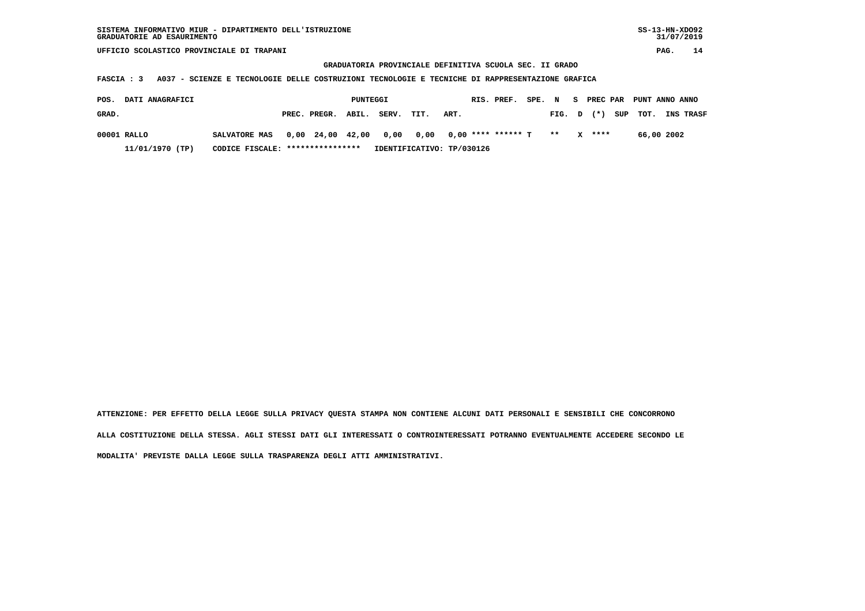# **GRADUATORIA PROVINCIALE DEFINITIVA SCUOLA SEC. II GRADO**

 **FASCIA : 3 A037 - SCIENZE E TECNOLOGIE DELLE COSTRUZIONI TECNOLOGIE E TECNICHE DI RAPPRESENTAZIONE GRAFICA**

| POS.  | <b>DATI ANAGRAFICI</b> |                                  |              | PUNTEGGI |       |                                               |      | RIS. PREF. | SPE. N |        | - S | PREC PAR | PUNT ANNO ANNO |            |                  |
|-------|------------------------|----------------------------------|--------------|----------|-------|-----------------------------------------------|------|------------|--------|--------|-----|----------|----------------|------------|------------------|
| GRAD. |                        |                                  | PREC. PREGR. | ABIL.    | SERV. | TIT.                                          | ART. |            |        | FIG. D |     | $(*)$    | SUP TOT.       |            | <b>INS TRASF</b> |
|       | 00001 RALLO            | <b>SALVATORE MAS</b>             |              |          |       | 0,00 24,00 42,00 0,00 0,00 0,00 **** ****** T |      |            |        | $* *$  |     | $X$ **** |                | 66,00 2002 |                  |
|       | 11/01/1970 (TP)        | CODICE FISCALE: **************** |              |          |       | IDENTIFICATIVO: TP/030126                     |      |            |        |        |     |          |                |            |                  |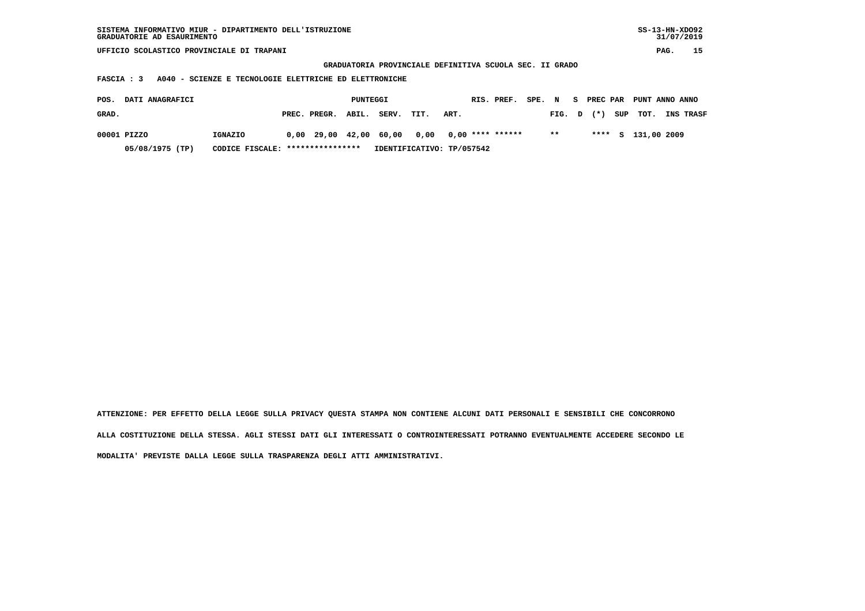| $SS-13-HN-XDO92$<br>SISTEMA INFORMATIVO MIUR - DIPARTIMENTO DELL'ISTRUZIONE<br>GRADUATORIE AD ESAURIMENTO |                 |                          |                           |                                                         |        |               |                   |  |  |  |  |  |
|-----------------------------------------------------------------------------------------------------------|-----------------|--------------------------|---------------------------|---------------------------------------------------------|--------|---------------|-------------------|--|--|--|--|--|
| UFFICIO SCOLASTICO PROVINCIALE DI TRAPANI                                                                 |                 |                          |                           |                                                         |        |               | 15<br>PAG.        |  |  |  |  |  |
|                                                                                                           |                 |                          |                           | GRADUATORIA PROVINCIALE DEFINITIVA SCUOLA SEC. II GRADO |        |               |                   |  |  |  |  |  |
| A040 - SCIENZE E TECNOLOGIE ELETTRICHE ED ELETTRONICHE<br>FASCIA : 3                                      |                 |                          |                           |                                                         |        |               |                   |  |  |  |  |  |
|                                                                                                           |                 |                          |                           |                                                         |        |               |                   |  |  |  |  |  |
| DATI ANAGRAFICI<br>POS.                                                                                   |                 | PUNTEGGI                 |                           | RIS. PREF.                                              | SPE. N | S PREC PAR    | PUNT ANNO ANNO    |  |  |  |  |  |
| GRAD.                                                                                                     |                 | ABIL.<br>PREC. PREGR.    | SERV.<br>TIT.             | ART.                                                    | FIG. D | SUP<br>$(* )$ | TOT.<br>INS TRASF |  |  |  |  |  |
|                                                                                                           |                 |                          |                           | $0,00$ **** ******                                      | $* *$  | ****<br>S.    | 131,00 2009       |  |  |  |  |  |
| 00001 PIZZO                                                                                               | IGNAZIO         | $0,00$ 29,00 42,00 60,00 | 0,00                      |                                                         |        |               |                   |  |  |  |  |  |
| 05/08/1975 (TP)                                                                                           | CODICE FISCALE: | ****************         | IDENTIFICATIVO: TP/057542 |                                                         |        |               |                   |  |  |  |  |  |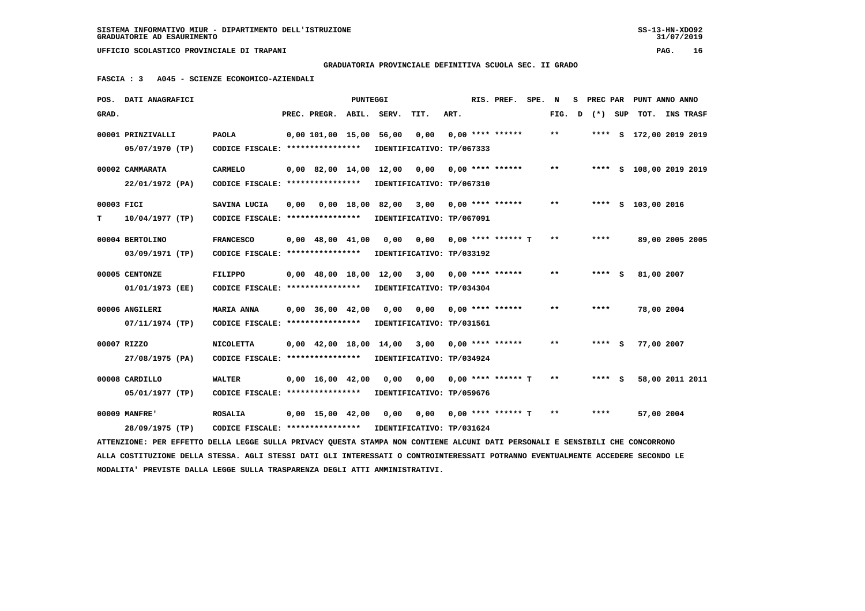### **GRADUATORIA PROVINCIALE DEFINITIVA SCUOLA SEC. II GRADO**

 **FASCIA : 3 A045 - SCIENZE ECONOMICO-AZIENDALI**

| POS.       | DATI ANAGRAFICI                                                                                                                 |                                   |      |                                            | <b>PUNTEGGI</b> |                           |                           |      | RIS. PREF.           | SPE. | N     | s |        |     | PREC PAR PUNT ANNO ANNO |           |  |
|------------|---------------------------------------------------------------------------------------------------------------------------------|-----------------------------------|------|--------------------------------------------|-----------------|---------------------------|---------------------------|------|----------------------|------|-------|---|--------|-----|-------------------------|-----------|--|
| GRAD.      |                                                                                                                                 |                                   |      | PREC. PREGR.                               | ABIL.           | SERV.                     | TIT.                      | ART. |                      |      | FIG.  | D | $(*)$  | SUP | TOT.                    | INS TRASF |  |
|            | 00001 PRINZIVALLI                                                                                                               | <b>PAOLA</b>                      |      | 0,00 101,00 15,00                          |                 | 56,00                     | 0,00                      |      | $0,00$ **** ******   |      | $* *$ |   |        |     | **** S 172,00 2019 2019 |           |  |
|            | 05/07/1970 (TP)                                                                                                                 | CODICE FISCALE: ****************  |      |                                            |                 |                           | IDENTIFICATIVO: TP/067333 |      |                      |      |       |   |        |     |                         |           |  |
|            | 00002 CAMMARATA                                                                                                                 | <b>CARMELO</b>                    |      | $0,00$ 82,00 14,00 12,00                   |                 |                           | 0,00                      |      | $0.00$ **** ******   |      | $***$ |   |        |     | **** S 108,00 2019 2019 |           |  |
|            | 22/01/1972 (PA)                                                                                                                 | CODICE FISCALE: ****************  |      |                                            |                 |                           | IDENTIFICATIVO: TP/067310 |      |                      |      |       |   |        |     |                         |           |  |
| 00003 FICI |                                                                                                                                 | SAVINA LUCIA                      | 0,00 |                                            |                 | 0,00 18,00 82,00          | 3,00                      |      | $0.00$ **** ******   |      | $* *$ |   |        |     | **** S 103,00 2016      |           |  |
| т          | $10/04/1977$ (TP)                                                                                                               | CODICE FISCALE: ****************  |      |                                            |                 |                           | IDENTIFICATIVO: TP/067091 |      |                      |      |       |   |        |     |                         |           |  |
|            | 00004 BERTOLINO                                                                                                                 | <b>FRANCESCO</b>                  |      | $0,00 \quad 48,00 \quad 41,00$             |                 | 0,00                      | 0,00                      |      | $0,00$ **** ****** T |      | $***$ |   | ****   |     | 89,00 2005 2005         |           |  |
|            | 03/09/1971 (TP)                                                                                                                 | CODICE FISCALE: ****************  |      |                                            |                 |                           | IDENTIFICATIVO: TP/033192 |      |                      |      |       |   |        |     |                         |           |  |
|            | 00005 CENTONZE                                                                                                                  | <b>FILIPPO</b>                    |      | $0.00 \quad 48.00 \quad 18.00 \quad 12.00$ |                 |                           | 3,00                      |      | $0,00$ **** ******   |      | $* *$ |   | **** S |     | 81,00 2007              |           |  |
|            | 01/01/1973 (EE)                                                                                                                 | CODICE FISCALE: ****************  |      |                                            |                 |                           | IDENTIFICATIVO: TP/034304 |      |                      |      |       |   |        |     |                         |           |  |
|            | 00006 ANGILERI                                                                                                                  | <b>MARIA ANNA</b>                 |      | $0.00$ $36.00$ $42.00$                     |                 | 0.00                      | 0.00                      |      | $0.00$ **** ******   |      | $**$  |   | ****   |     | 78,00 2004              |           |  |
|            | 07/11/1974 (TP)                                                                                                                 | CODICE FISCALE: ****************  |      |                                            |                 |                           | IDENTIFICATIVO: TP/031561 |      |                      |      |       |   |        |     |                         |           |  |
|            | 00007 RIZZO                                                                                                                     | <b>NICOLETTA</b>                  |      | $0,00 \quad 42,00 \quad 18,00$             |                 | 14,00                     | 3,00                      |      | $0.00$ **** ******   |      | $* *$ |   | **** S |     | 77,00 2007              |           |  |
|            | 27/08/1975 (PA)                                                                                                                 | CODICE FISCALE: ****************  |      |                                            |                 |                           | IDENTIFICATIVO: TP/034924 |      |                      |      |       |   |        |     |                         |           |  |
|            | 00008 CARDILLO                                                                                                                  | <b>WALTER</b>                     |      | $0,00 \quad 16,00 \quad 42,00$             |                 | 0,00                      | 0,00                      |      | $0,00$ **** ****** T |      | **    |   | **** S |     | 58,00 2011 2011         |           |  |
|            | 05/01/1977 (TP)                                                                                                                 | CODICE FISCALE: ****************  |      |                                            |                 |                           | IDENTIFICATIVO: TP/059676 |      |                      |      |       |   |        |     |                         |           |  |
|            | 00009 MANFRE'                                                                                                                   | <b>ROSALIA</b>                    |      | $0,00 \quad 15,00 \quad 42,00$             |                 | 0,00                      | 0,00                      |      | $0,00$ **** ****** T |      | **    |   | ****   |     | 57,00 2004              |           |  |
|            | 28/09/1975 (TP)                                                                                                                 | CODICE FISCALE: ***************** |      |                                            |                 | IDENTIFICATIVO: TP/031624 |                           |      |                      |      |       |   |        |     |                         |           |  |
|            | ATTENZIONE: PER EFFETTO DELLA LEGGE SULLA PRIVACY QUESTA STAMPA NON CONTIENE ALCUNI DATI PERSONALI E SENSIBILI CHE CONCORRONO   |                                   |      |                                            |                 |                           |                           |      |                      |      |       |   |        |     |                         |           |  |
|            | ALLA COSTITUZIONE DELLA STESSA. AGLI STESSI DATI GLI INTERESSATI O CONTROINTERESSATI POTRANNO EVENTUALMENTE ACCEDERE SECONDO LE |                                   |      |                                            |                 |                           |                           |      |                      |      |       |   |        |     |                         |           |  |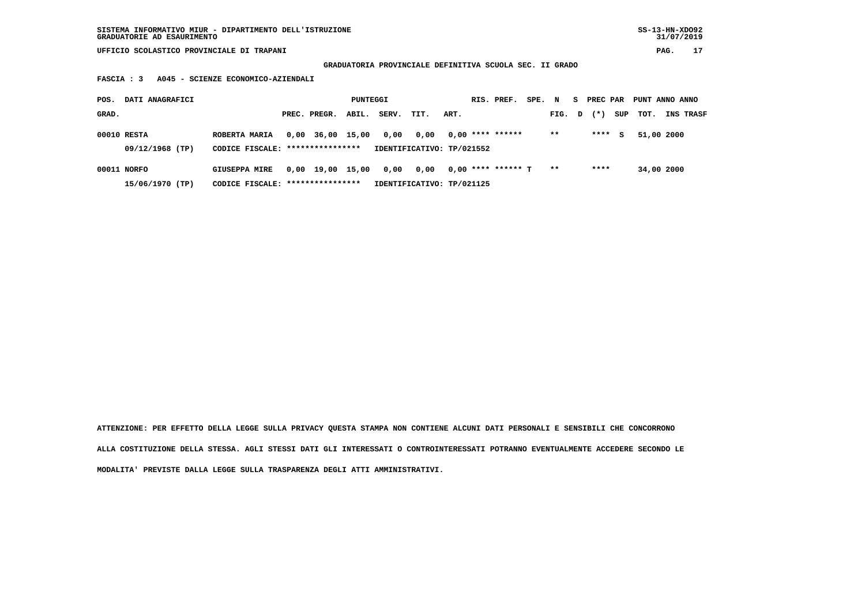**GRADUATORIA PROVINCIALE DEFINITIVA SCUOLA SEC. II GRADO**

 **FASCIA : 3 A045 - SCIENZE ECONOMICO-AZIENDALI**

| DATI ANAGRAFICI<br>POS.        |                                                           |      |                    | PUNTEGGI |       |                                   |      | RIS. PREF.           | SPE. N |        | S PREC PAR |     | PUNT ANNO ANNO |                  |
|--------------------------------|-----------------------------------------------------------|------|--------------------|----------|-------|-----------------------------------|------|----------------------|--------|--------|------------|-----|----------------|------------------|
| GRAD.                          |                                                           |      | PREC. PREGR.       | ABIL.    | SERV. | TIT.                              | ART. |                      |        | FIG. D | $(* )$     | SUP | тот.           | <b>INS TRASF</b> |
| 00010 RESTA<br>09/12/1968 (TP) | ROBERTA MARIA<br>CODICE FISCALE: ****************         | 0,00 | 36,00              | 15,00    | 0,00  | 0,00<br>IDENTIFICATIVO: TP/021552 |      | $0.00$ **** ******   |        | $* *$  | ****       | s   | 51,00 2000     |                  |
| 00011 NORFO<br>15/06/1970 (TP) | <b>GIUSEPPA MIRE</b><br>CODICE FISCALE: ***************** |      | $0,00$ 19,00 15,00 |          | 0,00  | 0,00<br>IDENTIFICATIVO: TP/021125 |      | $0,00$ **** ****** T |        | $* *$  | ****       |     | 34,00 2000     |                  |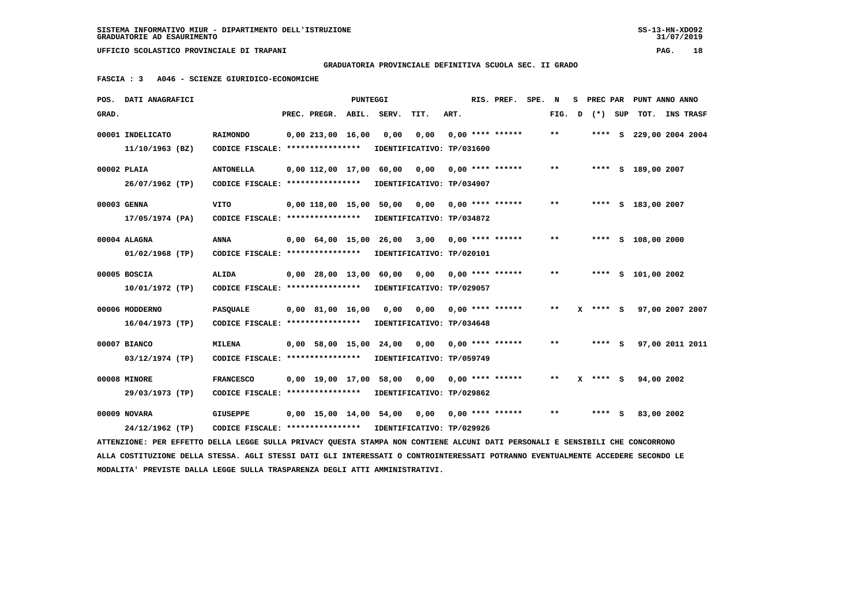**GRADUATORIA PROVINCIALE DEFINITIVA SCUOLA SEC. II GRADO**

 **FASCIA : 3 A046 - SCIENZE GIURIDICO-ECONOMICHE**

|       | POS. DATI ANAGRAFICI                                                                                                            |                                   |                                            | <b>PUNTEGGI</b> |       |                           |      | RIS. PREF.                | SPE. | N                          | s | PREC PAR |     | PUNT ANNO ANNO          |           |  |
|-------|---------------------------------------------------------------------------------------------------------------------------------|-----------------------------------|--------------------------------------------|-----------------|-------|---------------------------|------|---------------------------|------|----------------------------|---|----------|-----|-------------------------|-----------|--|
| GRAD. |                                                                                                                                 |                                   | PREC. PREGR.                               | ABIL.           | SERV. | TIT.                      | ART. |                           |      | FIG.                       | D | $(*)$    | SUP | TOT.                    | INS TRASF |  |
|       | 00001 INDELICATO                                                                                                                | <b>RAIMONDO</b>                   | 0.00213.0016.00                            |                 | 0,00  | 0,00                      |      | $0.00$ **** ******        |      | $***$                      |   |          |     | **** S 229,00 2004 2004 |           |  |
|       | $11/10/1963$ (BZ)                                                                                                               | CODICE FISCALE: ***************** |                                            |                 |       | IDENTIFICATIVO: TP/031600 |      |                           |      |                            |   |          |     |                         |           |  |
|       | 00002 PLAIA                                                                                                                     | <b>ANTONELLA</b>                  | 0.00 112.00 17.00                          |                 | 60,00 | 0.00                      |      | $0.00$ **** ******        |      | $\pmb{\times}\pmb{\times}$ |   |          |     | **** S 189,00 2007      |           |  |
|       | 26/07/1962 (TP)                                                                                                                 | CODICE FISCALE: ****************  |                                            |                 |       | IDENTIFICATIVO: TP/034907 |      |                           |      |                            |   |          |     |                         |           |  |
|       | 00003 GENNA                                                                                                                     | <b>VITO</b>                       | 0,00 118,00 15,00 50,00                    |                 |       |                           |      | $0,00$ $0,00$ **** ****** |      | $* *$                      |   |          |     | **** S 183,00 2007      |           |  |
|       | 17/05/1974 (PA)                                                                                                                 | CODICE FISCALE: ****************  |                                            |                 |       | IDENTIFICATIVO: TP/034872 |      |                           |      |                            |   |          |     |                         |           |  |
|       | 00004 ALAGNA                                                                                                                    | <b>ANNA</b>                       | $0,00$ $64,00$ $15,00$                     |                 | 26,00 | 3,00                      |      | $0.00$ **** ******        |      | $* *$                      |   |          |     | **** S 108,00 2000      |           |  |
|       | $01/02/1968$ (TP)                                                                                                               | CODICE FISCALE: ****************  |                                            |                 |       | IDENTIFICATIVO: TP/020101 |      |                           |      |                            |   |          |     |                         |           |  |
|       | 00005 BOSCIA                                                                                                                    | <b>ALIDA</b>                      | 0,00 28,00 13,00 60,00                     |                 |       | 0,00                      |      | $0.00$ **** ******        |      | **                         |   |          |     | **** S 101,00 2002      |           |  |
|       | 10/01/1972 (TP)                                                                                                                 | CODICE FISCALE: ****************  |                                            |                 |       | IDENTIFICATIVO: TP/029057 |      |                           |      |                            |   |          |     |                         |           |  |
|       | 00006 MODDERNO                                                                                                                  | <b>PASQUALE</b>                   | $0,00$ 81,00 16,00                         |                 | 0,00  | 0,00                      |      | $0.00$ **** ******        |      | $***$                      |   | X **** S |     | 97,00 2007 2007         |           |  |
|       | $16/04/1973$ (TP)                                                                                                               | CODICE FISCALE: ****************  |                                            |                 |       | IDENTIFICATIVO: TP/034648 |      |                           |      |                            |   |          |     |                         |           |  |
|       | 00007 BIANCO                                                                                                                    | <b>MILENA</b>                     | 0,00 58,00 15,00 24,00                     |                 |       | 0,00                      |      | $0.00$ **** ******        |      | $* *$                      |   | **** S   |     | 97,00 2011 2011         |           |  |
|       | $03/12/1974$ (TP)                                                                                                               | CODICE FISCALE: ****************  |                                            |                 |       | IDENTIFICATIVO: TP/059749 |      |                           |      |                            |   |          |     |                         |           |  |
|       | 00008 MINORE                                                                                                                    | <b>FRANCESCO</b>                  | 0,00 19,00 17,00 58,00                     |                 |       | 0,00                      |      | $0.00$ **** ******        |      | $* *$                      | x | **** S   |     | 94,00 2002              |           |  |
|       | 29/03/1973 (TP)                                                                                                                 | CODICE FISCALE: ****************  |                                            |                 |       | IDENTIFICATIVO: TP/029862 |      |                           |      |                            |   |          |     |                         |           |  |
|       | 00009 NOVARA                                                                                                                    | <b>GIUSEPPE</b>                   | $0.00 \quad 15.00 \quad 14.00 \quad 54.00$ |                 |       | 0,00                      |      | $0.00$ **** ******        |      | $***$                      |   | **** S   |     | 83,00 2002              |           |  |
|       | 24/12/1962 (TP)                                                                                                                 | CODICE FISCALE: ***************** |                                            |                 |       | IDENTIFICATIVO: TP/029926 |      |                           |      |                            |   |          |     |                         |           |  |
|       | ATTENZIONE: PER EFFETTO DELLA LEGGE SULLA PRIVACY QUESTA STAMPA NON CONTIENE ALCUNI DATI PERSONALI E SENSIBILI CHE CONCORRONO   |                                   |                                            |                 |       |                           |      |                           |      |                            |   |          |     |                         |           |  |
|       | ALLA COSTITUZIONE DELLA STESSA. AGLI STESSI DATI GLI INTERESSATI O CONTROINTERESSATI POTRANNO EVENTUALMENTE ACCEDERE SECONDO LE |                                   |                                            |                 |       |                           |      |                           |      |                            |   |          |     |                         |           |  |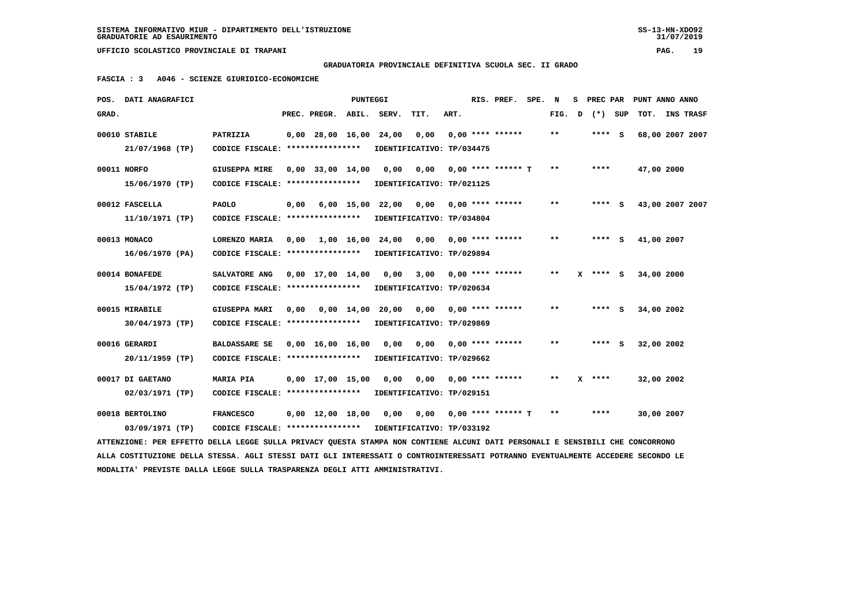### **GRADUATORIA PROVINCIALE DEFINITIVA SCUOLA SEC. II GRADO**

 **FASCIA : 3 A046 - SCIENZE GIURIDICO-ECONOMICHE**

|       | POS. DATI ANAGRAFICI                                                                                                            |                                  |      |                                | <b>PUNTEGGI</b>    |                    |                           |      | RIS. PREF. SPE.      | N     | s |            |   | PREC PAR PUNT ANNO ANNO |                  |
|-------|---------------------------------------------------------------------------------------------------------------------------------|----------------------------------|------|--------------------------------|--------------------|--------------------|---------------------------|------|----------------------|-------|---|------------|---|-------------------------|------------------|
| GRAD. |                                                                                                                                 |                                  |      | PREC. PREGR.                   | ABIL.              | SERV.              | TIT.                      | ART. |                      | FIG.  | D | (*) SUP    |   | TOT.                    | <b>INS TRASF</b> |
|       | 00010 STABILE                                                                                                                   | PATRIZIA                         |      | $0.00$ 28,00 16,00 24,00       |                    |                    | 0,00                      |      | $0,00$ **** ******   | $***$ |   | **** S     |   | 68,00 2007 2007         |                  |
|       | 21/07/1968 (TP)                                                                                                                 | CODICE FISCALE: **************** |      |                                |                    |                    | IDENTIFICATIVO: TP/034475 |      |                      |       |   |            |   |                         |                  |
|       | 00011 NORFO                                                                                                                     | <b>GIUSEPPA MIRE</b>             |      | $0,00$ 33,00 14,00             |                    | 0.00               | 0.00                      |      | $0.00$ **** ****** T | $* *$ |   | ****       |   | 47,00 2000              |                  |
|       | 15/06/1970 (TP)                                                                                                                 | CODICE FISCALE: **************** |      |                                |                    |                    | IDENTIFICATIVO: TP/021125 |      |                      |       |   |            |   |                         |                  |
|       | 00012 FASCELLA                                                                                                                  | <b>PAOLO</b>                     | 0,00 |                                |                    | $6,00$ 15,00 22,00 | 0,00 0,00 **** ******     |      |                      | $**$  |   | $***$ S    |   | 43,00 2007 2007         |                  |
|       | 11/10/1971 (TP)                                                                                                                 | CODICE FISCALE: **************** |      |                                |                    |                    | IDENTIFICATIVO: TP/034804 |      |                      |       |   |            |   |                         |                  |
|       | 00013 MONACO                                                                                                                    | LORENZO MARIA                    | 0,00 |                                | 1,00 16,00         | 24,00              | 0,00                      |      | $0.00$ **** ******   | $***$ |   |            | S | 41,00 2007              |                  |
|       | $16/06/1970$ (PA)                                                                                                               | CODICE FISCALE: **************** |      |                                |                    |                    | IDENTIFICATIVO: TP/029894 |      |                      |       |   |            |   |                         |                  |
|       | 00014 BONAFEDE                                                                                                                  | SALVATORE ANG                    |      | $0,00 \quad 17,00 \quad 14,00$ |                    | 0,00               | 3,00                      |      | $0,00$ **** ******   | $* *$ |   | $X$ **** S |   | 34,00 2000              |                  |
|       | 15/04/1972 (TP)                                                                                                                 | CODICE FISCALE: **************** |      |                                |                    |                    | IDENTIFICATIVO: TP/020634 |      |                      |       |   |            |   |                         |                  |
|       | 00015 MIRABILE                                                                                                                  | <b>GIUSEPPA MARI</b>             | 0,00 |                                | $0,00 \quad 14,00$ |                    | 20,00 0,00                |      | $0.00$ **** ******   | $***$ |   | **** S     |   | 34,00 2002              |                  |
|       | 30/04/1973 (TP)                                                                                                                 | CODICE FISCALE: **************** |      |                                |                    |                    | IDENTIFICATIVO: TP/029869 |      |                      |       |   |            |   |                         |                  |
|       | 00016 GERARDI                                                                                                                   | <b>BALDASSARE SE</b>             |      | $0,00 \quad 16,00 \quad 16,00$ |                    |                    | 0,00                      |      | $0.00$ **** ******   | $***$ |   | $***$ S    |   | 32,00 2002              |                  |
|       | 20/11/1959 (TP)                                                                                                                 | CODICE FISCALE: **************** |      |                                |                    | 0,00               | IDENTIFICATIVO: TP/029662 |      |                      |       |   |            |   |                         |                  |
|       |                                                                                                                                 |                                  |      |                                |                    |                    |                           |      |                      |       |   |            |   |                         |                  |
|       | 00017 DI GAETANO                                                                                                                | MARIA PIA                        |      | $0,00$ 17,00 15,00             |                    | 0.00               | 0,00                      |      | $0.00$ **** ******   | $* *$ |   | $X$ ****   |   | 32,00 2002              |                  |
|       | $02/03/1971$ (TP)                                                                                                               | CODICE FISCALE: **************** |      |                                |                    |                    | IDENTIFICATIVO: TP/029151 |      |                      |       |   |            |   |                         |                  |
|       | 00018 BERTOLINO                                                                                                                 | <b>FRANCESCO</b>                 |      | $0.00 \quad 12.00 \quad 18.00$ |                    | 0.00               | 0,00                      |      | $0,00$ **** ****** T | $***$ |   | ****       |   | 30,00 2007              |                  |
|       | 03/09/1971 (TP)                                                                                                                 | CODICE FISCALE: **************** |      |                                |                    |                    | IDENTIFICATIVO: TP/033192 |      |                      |       |   |            |   |                         |                  |
|       | ATTENZIONE: PER EFFETTO DELLA LEGGE SULLA PRIVACY QUESTA STAMPA NON CONTIENE ALCUNI DATI PERSONALI E SENSIBILI CHE CONCORRONO   |                                  |      |                                |                    |                    |                           |      |                      |       |   |            |   |                         |                  |
|       | ALLA COSTITUZIONE DELLA STESSA. AGLI STESSI DATI GLI INTERESSATI O CONTROINTERESSATI POTRANNO EVENTUALMENTE ACCEDERE SECONDO LE |                                  |      |                                |                    |                    |                           |      |                      |       |   |            |   |                         |                  |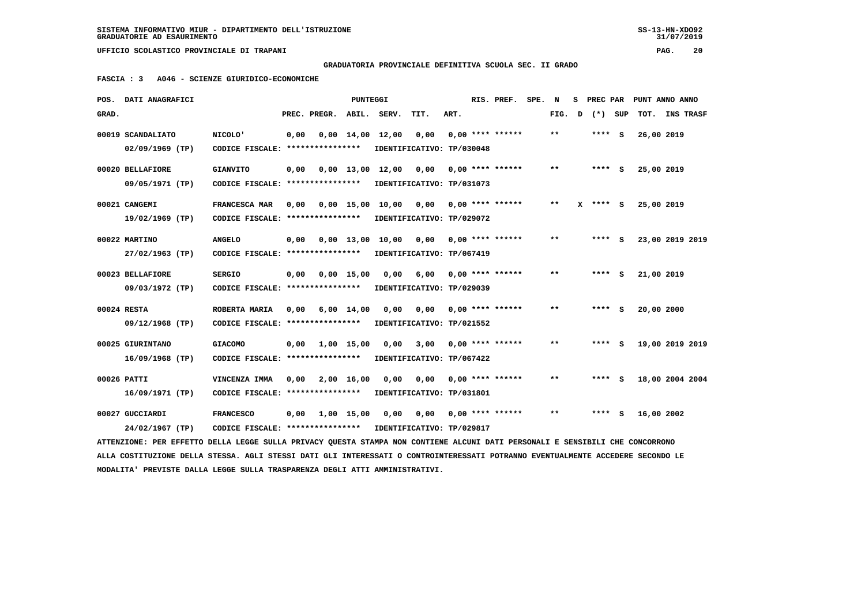$31/07/2019$ 

#### **GRADUATORIA PROVINCIALE DEFINITIVA SCUOLA SEC. II GRADO**

 **FASCIA : 3 A046 - SCIENZE GIURIDICO-ECONOMICHE**

|       | POS. DATI ANAGRAFICI                                                                                                            |                                   |      |                          | PUNTEGGI           |                                          |                           |      | RIS. PREF.         | SPE. | $\mathbf N$ |            |            | S PREC PAR PUNT ANNO ANNO |  |
|-------|---------------------------------------------------------------------------------------------------------------------------------|-----------------------------------|------|--------------------------|--------------------|------------------------------------------|---------------------------|------|--------------------|------|-------------|------------|------------|---------------------------|--|
| GRAD. |                                                                                                                                 |                                   |      | PREC. PREGR. ABIL. SERV. |                    |                                          | TIT.                      | ART. |                    |      | FIG. D      | (*) SUP    |            | TOT. INS TRASF            |  |
|       | 00019 SCANDALIATO                                                                                                               | <b>NICOLO'</b>                    | 0,00 |                          |                    | $0,00 \quad 14,00 \quad 12,00$           | 0,00                      |      | $0.00$ **** ****** |      | $* *$       | $***$ S    | 26,00 2019 |                           |  |
|       | $02/09/1969$ (TP)                                                                                                               | CODICE FISCALE: ***************** |      |                          |                    |                                          | IDENTIFICATIVO: TP/030048 |      |                    |      |             |            |            |                           |  |
|       | 00020 BELLAFIORE                                                                                                                | <b>GIANVITO</b>                   | 0,00 |                          |                    | $0.00 \quad 13.00 \quad 12.00$           | 0,00                      |      | $0.00$ **** ****** |      | $* *$       | $***$ S    | 25,00 2019 |                           |  |
|       | 09/05/1971 (TP)                                                                                                                 | CODICE FISCALE: ***************** |      |                          |                    |                                          | IDENTIFICATIVO: TP/031073 |      |                    |      |             |            |            |                           |  |
|       | 00021 CANGEMI                                                                                                                   | FRANCESCA MAR                     | 0,00 |                          |                    | $0,00$ 15,00 10,00 0,00 0,00 **** ****** |                           |      |                    |      | $* *$       | $X$ **** S | 25,00 2019 |                           |  |
|       | 19/02/1969 (TP)                                                                                                                 | CODICE FISCALE: ****************  |      |                          |                    |                                          | IDENTIFICATIVO: TP/029072 |      |                    |      |             |            |            |                           |  |
|       | 00022 MARTINO                                                                                                                   | <b>ANGELO</b>                     | 0,00 |                          | $0.00$ 13,00       |                                          | 10,00 0,00                |      | $0.00$ **** ****** |      | **          | **** S     |            | 23,00 2019 2019           |  |
|       | 27/02/1963 (TP)                                                                                                                 | CODICE FISCALE: ***************** |      |                          |                    |                                          | IDENTIFICATIVO: TP/067419 |      |                    |      |             |            |            |                           |  |
|       | 00023 BELLAFIORE                                                                                                                | <b>SERGIO</b>                     | 0,00 |                          | 0.00 15.00         | 0,00                                     | 6,00                      |      | $0,00$ **** ****** |      | $* *$       | $***$ S    | 21,00 2019 |                           |  |
|       | 09/03/1972 (TP)                                                                                                                 | CODICE FISCALE: ***************** |      |                          |                    |                                          | IDENTIFICATIVO: TP/029039 |      |                    |      |             |            |            |                           |  |
|       | 00024 RESTA                                                                                                                     | ROBERTA MARIA                     | 0,00 |                          | $6,00 \quad 14,00$ | 0,00                                     | 0,00                      |      | $0.00$ **** ****** |      | $* *$       | **** S     | 20,00 2000 |                           |  |
|       | 09/12/1968 (TP)                                                                                                                 | CODICE FISCALE: ****************  |      |                          |                    |                                          | IDENTIFICATIVO: TP/021552 |      |                    |      |             |            |            |                           |  |
|       | 00025 GIURINTANO                                                                                                                | <b>GIACOMO</b>                    | 0,00 |                          | $1,00$ 15,00       | 0.00                                     | 3,00                      |      | $0.00$ **** ****** |      | $* *$       | **** S     |            | 19,00 2019 2019           |  |
|       | 16/09/1968 (TP)                                                                                                                 | CODICE FISCALE: ****************  |      |                          |                    |                                          | IDENTIFICATIVO: TP/067422 |      |                    |      |             |            |            |                           |  |
|       | 00026 PATTI                                                                                                                     | VINCENZA IMMA                     | 0,00 |                          | 2,00 16,00         | 0,00                                     | 0,00                      |      | $0.00$ **** ****** |      | **          | **** S     |            | 18,00 2004 2004           |  |
|       | 16/09/1971 (TP)                                                                                                                 | CODICE FISCALE: ****************  |      |                          |                    |                                          | IDENTIFICATIVO: TP/031801 |      |                    |      |             |            |            |                           |  |
|       | 00027 GUCCIARDI                                                                                                                 | <b>FRANCESCO</b>                  | 0,00 |                          | $1,00$ 15,00       | 0.00                                     | 0.00                      |      | 0,00 **** ******   |      | $* *$       | $***$ S    | 16,00 2002 |                           |  |
|       | 24/02/1967 (TP)                                                                                                                 | CODICE FISCALE: ***************** |      |                          |                    |                                          | IDENTIFICATIVO: TP/029817 |      |                    |      |             |            |            |                           |  |
|       | ATTENZIONE: PER EFFETTO DELLA LEGGE SULLA PRIVACY QUESTA STAMPA NON CONTIENE ALCUNI DATI PERSONALI E SENSIBILI CHE CONCORRONO   |                                   |      |                          |                    |                                          |                           |      |                    |      |             |            |            |                           |  |
|       | ALLA COSTITUZIONE DELLA STESSA. AGLI STESSI DATI GLI INTERESSATI O CONTROINTERESSATI POTRANNO EVENTUALMENTE ACCEDERE SECONDO LE |                                   |      |                          |                    |                                          |                           |      |                    |      |             |            |            |                           |  |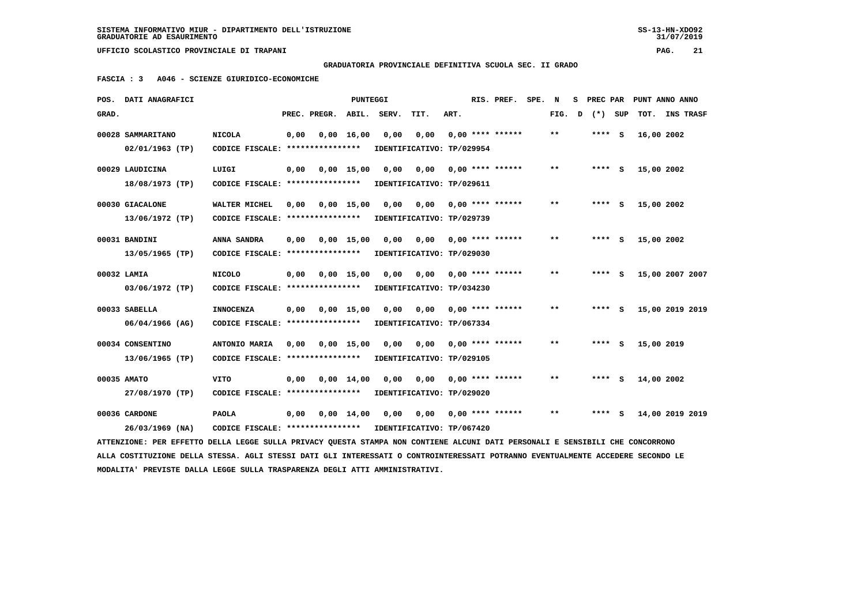**GRADUATORIA PROVINCIALE DEFINITIVA SCUOLA SEC. II GRADO**

 **FASCIA : 3 A046 - SCIENZE GIURIDICO-ECONOMICHE**

|       | POS. DATI ANAGRAFICI                                                                                                            |                                                            |      |                       |                    |                                                   | RIS. PREF.                | SPE. | N                         | s |              |   | PREC PAR PUNT ANNO ANNO |           |                 |  |
|-------|---------------------------------------------------------------------------------------------------------------------------------|------------------------------------------------------------|------|-----------------------|--------------------|---------------------------------------------------|---------------------------|------|---------------------------|---|--------------|---|-------------------------|-----------|-----------------|--|
| GRAD. |                                                                                                                                 |                                                            |      | PREC. PREGR.          | ABIL.              | SERV.                                             | TIT.                      | ART. |                           |   | FIG.         | D |                         | $(*)$ SUP | TOT. INS TRASF  |  |
|       | 00028 SAMMARITANO                                                                                                               | <b>NICOLA</b>                                              | 0,00 |                       | $0,00 \quad 16,00$ | 0,00                                              | 0,00                      |      | $0.00$ **** ******        |   | $* *$        |   | $***$ S                 |           | 16,00 2002      |  |
|       | $02/01/1963$ (TP)                                                                                                               | CODICE FISCALE: ****************                           |      |                       |                    |                                                   | IDENTIFICATIVO: TP/029954 |      |                           |   |              |   |                         |           |                 |  |
|       | 00029 LAUDICINA                                                                                                                 | LUIGI                                                      | 0,00 |                       | 0,00 15,00         | 0,00                                              |                           |      | $0,00$ $0,00$ **** ****** |   | **           |   | $***$ S                 |           | 15,00 2002      |  |
|       | 18/08/1973 (TP)                                                                                                                 | CODICE FISCALE: *****************                          |      |                       |                    |                                                   | IDENTIFICATIVO: TP/029611 |      |                           |   |              |   |                         |           |                 |  |
|       |                                                                                                                                 |                                                            |      |                       |                    |                                                   |                           |      |                           |   |              |   |                         |           |                 |  |
|       | 00030 GIACALONE                                                                                                                 | WALTER MICHEL                                              |      |                       |                    | 0,00  0,00  15,00  0,00  0,00  0,00  ****  ****** |                           |      |                           |   | **           |   | $***$ S                 |           | 15,00 2002      |  |
|       | 13/06/1972 (TP)                                                                                                                 | CODICE FISCALE: ****************                           |      |                       |                    |                                                   | IDENTIFICATIVO: TP/029739 |      |                           |   |              |   |                         |           |                 |  |
|       | 00031 BANDINI                                                                                                                   | ANNA SANDRA                                                | 0,00 |                       | $0,00$ 15,00       | 0,00                                              | 0.00                      |      | $0,00$ **** ******        |   | $* *$        |   | **** S                  |           | 15,00 2002      |  |
|       | 13/05/1965 (TP)                                                                                                                 | CODICE FISCALE: ****************                           |      |                       |                    |                                                   | IDENTIFICATIVO: TP/029030 |      |                           |   |              |   |                         |           |                 |  |
|       | 00032 LAMIA                                                                                                                     | <b>NICOLO</b>                                              |      | $0,00$ $0,00$ $15,00$ |                    | 0,00                                              |                           |      | $0,00$ $0,00$ **** ****** |   | $* *$        |   | $***$ S                 |           | 15,00 2007 2007 |  |
|       | 03/06/1972 (TP)                                                                                                                 | CODICE FISCALE: ****************                           |      |                       |                    |                                                   | IDENTIFICATIVO: TP/034230 |      |                           |   |              |   |                         |           |                 |  |
|       |                                                                                                                                 |                                                            |      |                       |                    |                                                   |                           |      |                           |   |              |   |                         |           |                 |  |
|       | 00033 SABELLA                                                                                                                   | INNOCENZA                                                  | 0,00 | 0,00 15,00            |                    | 0.00                                              |                           |      | $0.00$ $0.00$ **** ****** |   | $\star\star$ |   | $***$ S                 |           | 15,00 2019 2019 |  |
|       | 06/04/1966 (AG)                                                                                                                 | CODICE FISCALE: ****************                           |      |                       |                    |                                                   | IDENTIFICATIVO: TP/067334 |      |                           |   |              |   |                         |           |                 |  |
|       | 00034 CONSENTINO                                                                                                                | ANTONIO MARIA                                              |      | $0,00$ $0,00$ $15,00$ |                    | 0,00                                              |                           |      | $0,00$ $0,00$ **** ****** |   | $***$        |   | $***$ S                 |           | 15,00 2019      |  |
|       | 13/06/1965 (TP)                                                                                                                 | CODICE FISCALE: *****************                          |      |                       |                    |                                                   | IDENTIFICATIVO: TP/029105 |      |                           |   |              |   |                         |           |                 |  |
|       |                                                                                                                                 |                                                            |      |                       |                    |                                                   |                           |      |                           |   |              |   |                         |           |                 |  |
|       | 00035 AMATO                                                                                                                     | VITO                                                       | 0,00 | 0,00 14,00            |                    | 0,00                                              | 0,00                      |      | 0,00 **** ******          |   | **           |   | $***$ S                 |           | 14,00 2002      |  |
|       | 27/08/1970 (TP)                                                                                                                 | CODICE FISCALE: *****************                          |      |                       |                    |                                                   | IDENTIFICATIVO: TP/029020 |      |                           |   |              |   |                         |           |                 |  |
|       | 00036 CARDONE                                                                                                                   | <b>PAOLA</b>                                               |      |                       |                    | 0,00  0,00  14,00  0,00  0,00  0,00  ****  ****** |                           |      |                           |   | $* *$        |   | $***$ S                 |           | 14,00 2019 2019 |  |
|       | $26/03/1969$ (NA)                                                                                                               | CODICE FISCALE: **************** IDENTIFICATIVO: TP/067420 |      |                       |                    |                                                   |                           |      |                           |   |              |   |                         |           |                 |  |
|       | ATTENZIONE: PER EFFETTO DELLA LEGGE SULLA PRIVACY QUESTA STAMPA NON CONTIENE ALCUNI DATI PERSONALI E SENSIBILI CHE CONCORRONO   |                                                            |      |                       |                    |                                                   |                           |      |                           |   |              |   |                         |           |                 |  |
|       | ALLA COSTITUZIONE DELLA STESSA. AGLI STESSI DATI GLI INTERESSATI O CONTROINTERESSATI POTRANNO EVENTUALMENTE ACCEDERE SECONDO LE |                                                            |      |                       |                    |                                                   |                           |      |                           |   |              |   |                         |           |                 |  |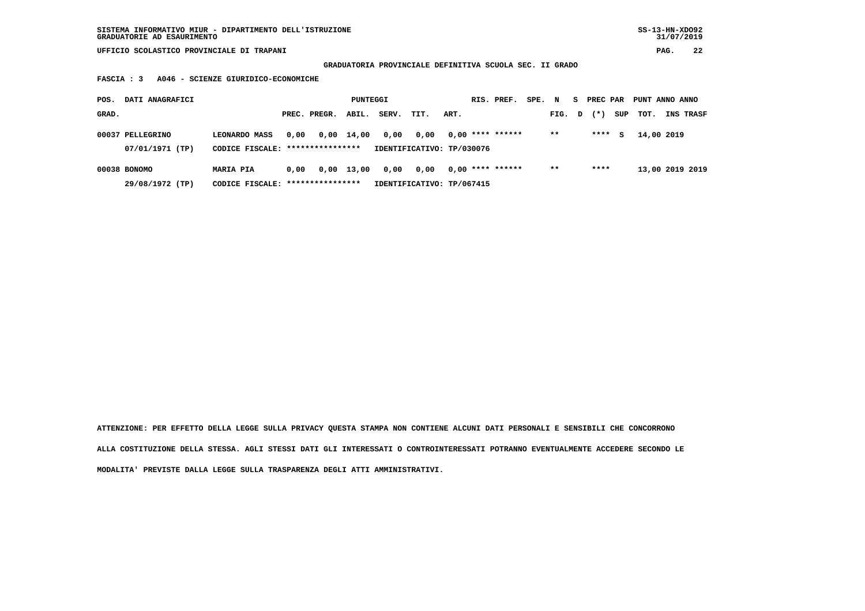# **GRADUATORIA PROVINCIALE DEFINITIVA SCUOLA SEC. II GRADO**

 **FASCIA : 3 A046 - SCIENZE GIURIDICO-ECONOMICHE**

| DATI ANAGRAFICI<br>POS.             |                                                          |      |              | PUNTEGGI   |       |                                   |      | RIS. PREF.         | SPE. | N      | S PREC PAR |     | PUNT ANNO ANNO  |           |  |
|-------------------------------------|----------------------------------------------------------|------|--------------|------------|-------|-----------------------------------|------|--------------------|------|--------|------------|-----|-----------------|-----------|--|
| GRAD.                               |                                                          |      | PREC. PREGR. | ABIL.      | SERV. | TIT.                              | ART. |                    |      | FIG. D | $(* )$     | SUP | тот.            | INS TRASF |  |
| 00037 PELLEGRINO<br>07/01/1971 (TP) | <b>LEONARDO MASS</b><br>CODICE FISCALE: **************** | 0,00 |              | 0,00 14,00 | 0,00  | 0,00<br>IDENTIFICATIVO: TP/030076 |      | $0.00$ **** ****** |      | $* *$  | ****       | s   | 14,00 2019      |           |  |
| 00038 BONOMO<br>29/08/1972 (TP)     | <b>MARIA PIA</b><br>CODICE FISCALE: *****************    | 0.00 |              | 0,00 13,00 | 0,00  | 0,00<br>IDENTIFICATIVO: TP/067415 |      | $0.00$ **** ****** |      | $***$  | ****       |     | 13,00 2019 2019 |           |  |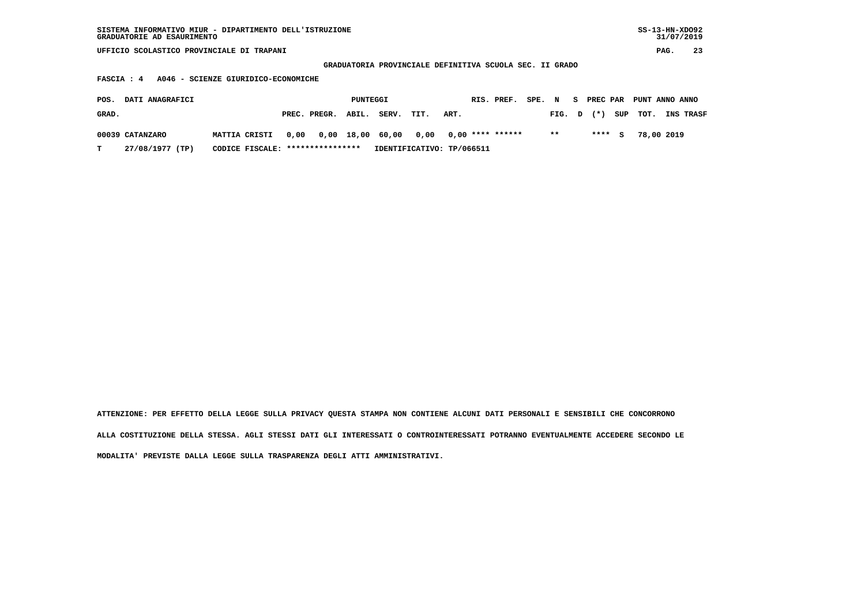| SISTEMA INFORMATIVO MIUR - DIPARTIMENTO DELL'ISTRUZIONE<br>GRADUATORIE AD ESAURIMENTO |                                   |                           |                                                         |                           | $SS-13-HN-XDO92$<br>31/07/2019 |  |  |  |  |  |  |  |  |  |
|---------------------------------------------------------------------------------------|-----------------------------------|---------------------------|---------------------------------------------------------|---------------------------|--------------------------------|--|--|--|--|--|--|--|--|--|
| UFFICIO SCOLASTICO PROVINCIALE DI TRAPANI                                             |                                   |                           |                                                         |                           | 23<br>PAG.                     |  |  |  |  |  |  |  |  |  |
|                                                                                       |                                   |                           | GRADUATORIA PROVINCIALE DEFINITIVA SCUOLA SEC. II GRADO |                           |                                |  |  |  |  |  |  |  |  |  |
| A046 - SCIENZE GIURIDICO-ECONOMICHE<br>FASCIA : 4                                     |                                   |                           |                                                         |                           |                                |  |  |  |  |  |  |  |  |  |
| DATI ANAGRAFICI<br>PUNTEGGI<br>RIS. PREF.<br>SPE. N<br>S PREC PAR<br>POS.             |                                   |                           |                                                         |                           |                                |  |  |  |  |  |  |  |  |  |
|                                                                                       |                                   |                           |                                                         |                           | PUNT ANNO ANNO                 |  |  |  |  |  |  |  |  |  |
| GRAD.                                                                                 | PREC. PREGR.<br>ABIL.             | SERV.<br>TIT.             | ART.                                                    | $^{(*)}$<br>SUP<br>FIG. D | тот.<br><b>INS TRASF</b>       |  |  |  |  |  |  |  |  |  |
|                                                                                       |                                   |                           |                                                         |                           |                                |  |  |  |  |  |  |  |  |  |
| 00039 CATANZARO<br>MATTIA CRISTI                                                      | 0,00 18,00<br>0,00                | 60,00<br>0,00             | $0.00$ **** ******                                      | $* *$<br>****<br>s        | 78,00 2019                     |  |  |  |  |  |  |  |  |  |
| 27/08/1977 (TP)<br>т                                                                  | CODICE FISCALE: ***************** | IDENTIFICATIVO: TP/066511 |                                                         |                           |                                |  |  |  |  |  |  |  |  |  |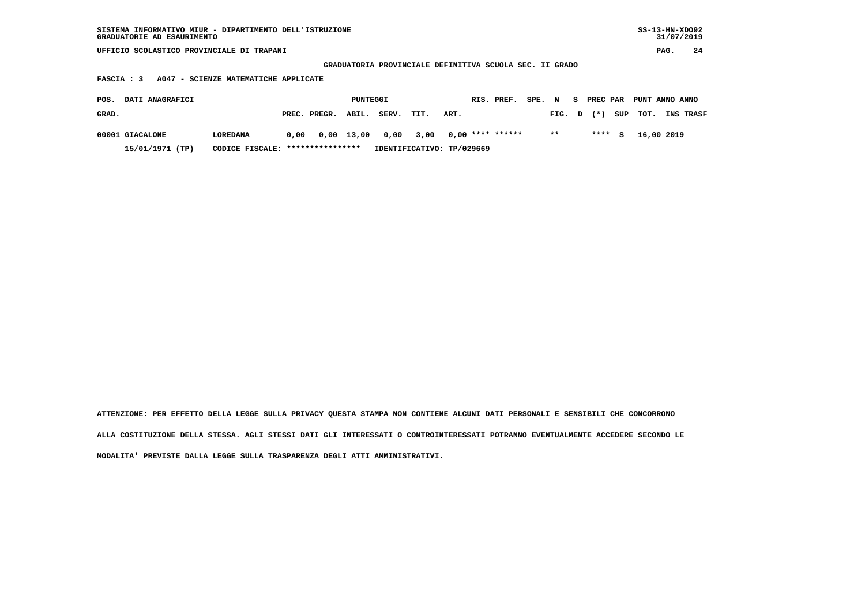| SISTEMA INFORMATIVO MIUR - DIPARTIMENTO DELL'ISTRUZIONE | SS-13-HN-XD092 |
|---------------------------------------------------------|----------------|
| GRADUATORIE AD ESAURIMENTO                              | 31/07/2019     |

 **GRADUATORIA PROVINCIALE DEFINITIVA SCUOLA SEC. II GRADO**

 **FASCIA : 3 A047 - SCIENZE MATEMATICHE APPLICATE**

| POS.  | <b>DATI ANAGRAFICI</b> |                                  |      |                      | PUNTEGGI |       |                           |                  | RIS. PREF. | SPE. N |        | s. | PREC PAR | PUNT ANNO ANNO |                  |
|-------|------------------------|----------------------------------|------|----------------------|----------|-------|---------------------------|------------------|------------|--------|--------|----|----------|----------------|------------------|
| GRAD. |                        |                                  |      | PREC. PREGR. ABIL.   |          | SERV. | TIT.                      | ART.             |            |        | FIG. D |    | $(* )$   | SUP TOT.       | <b>INS TRASF</b> |
|       | 00001 GIACALONE        | LOREDANA                         | 0,00 | 0,00 13,00 0,00 3,00 |          |       |                           | 0,00 **** ****** |            |        | $**$   |    | $***5$   | 16,00 2019     |                  |
|       | 15/01/1971 (TP)        | CODICE FISCALE: **************** |      |                      |          |       | IDENTIFICATIVO: TP/029669 |                  |            |        |        |    |          |                |                  |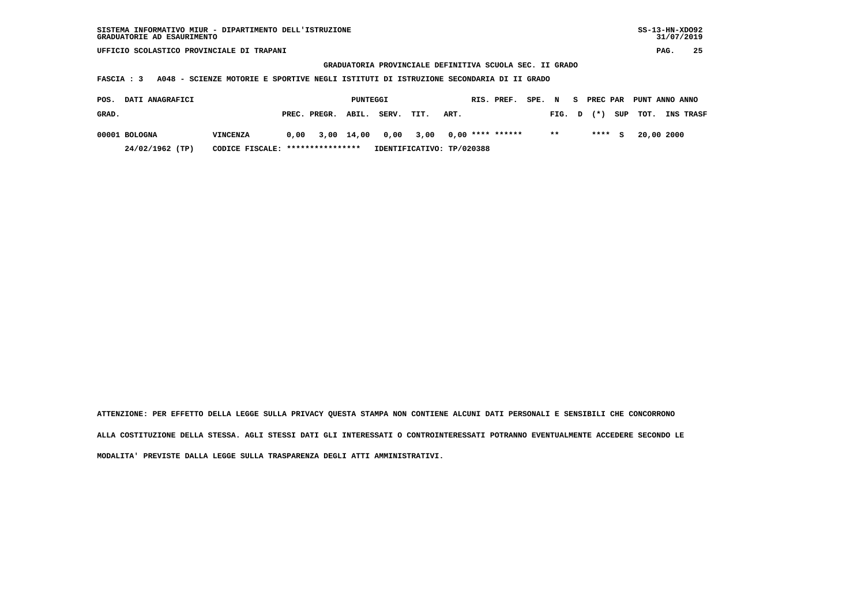**GRADUATORIA PROVINCIALE DEFINITIVA SCUOLA SEC. II GRADO**

 **FASCIA : 3 A048 - SCIENZE MOTORIE E SPORTIVE NEGLI ISTITUTI DI ISTRUZIONE SECONDARIA DI II GRADO**

| POS.  | <b>DATI ANAGRAFICI</b> |                                  |                                              | PUNTEGGI |       |                           |      | RIS. PREF. | SPE. N |        |        | PREC PAR PUNT ANNO ANNO |                  |
|-------|------------------------|----------------------------------|----------------------------------------------|----------|-------|---------------------------|------|------------|--------|--------|--------|-------------------------|------------------|
| GRAD. |                        |                                  | PREC. PREGR. ABIL.                           |          | SERV. | TIT.                      | ART. |            |        | FIG. D |        | $(\star)$ SUP TOT.      | <b>INS TRASF</b> |
|       | 00001 BOLOGNA          | <b>VINCENZA</b>                  | $0.00$ 3.00 14.00 0.00 3.00 0.00 **** ****** |          |       |                           |      |            |        | $* *$  | $***5$ | 20,00 2000              |                  |
|       | 24/02/1962 (TP)        | CODICE FISCALE: **************** |                                              |          |       | IDENTIFICATIVO: TP/020388 |      |            |        |        |        |                         |                  |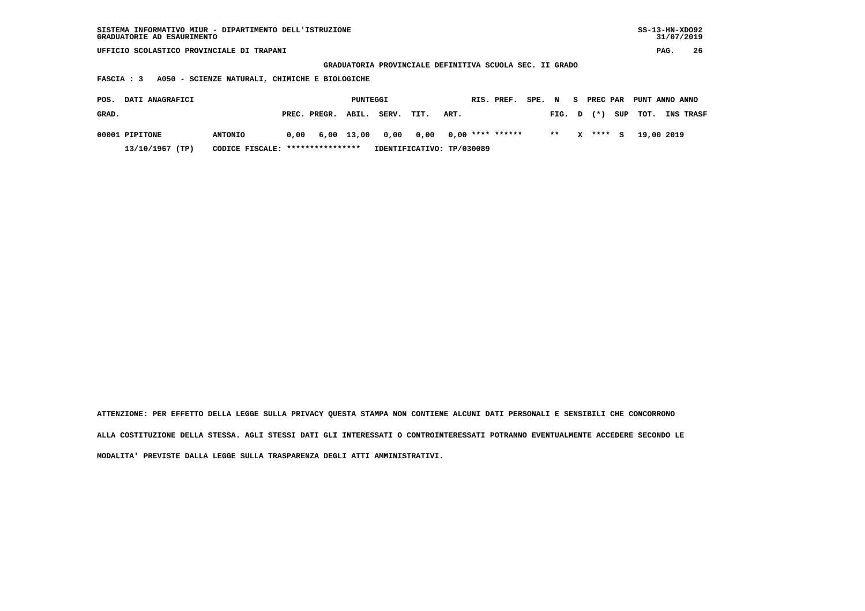| SISTEMA INFORMATIVO MIUR - DIPARTIMENTO DELL'ISTRUZIONE<br>GRADUATORIE AD ESAURIMENTO |                                                |      |                  |              |       |                           |      |                                                         |        |       |    |          |     |            | $SS-13-HN-XDO92$<br>31/07/2019 |  |
|---------------------------------------------------------------------------------------|------------------------------------------------|------|------------------|--------------|-------|---------------------------|------|---------------------------------------------------------|--------|-------|----|----------|-----|------------|--------------------------------|--|
| UFFICIO SCOLASTICO PROVINCIALE DI TRAPANI                                             |                                                |      |                  |              |       |                           |      |                                                         |        |       |    |          |     |            | 26<br>PAG.                     |  |
|                                                                                       |                                                |      |                  |              |       |                           |      | GRADUATORIA PROVINCIALE DEFINITIVA SCUOLA SEC. II GRADO |        |       |    |          |     |            |                                |  |
| <b>FASCIA : 3</b>                                                                     | A050 - SCIENZE NATURALI, CHIMICHE E BIOLOGICHE |      |                  |              |       |                           |      |                                                         |        |       |    |          |     |            |                                |  |
| DATI ANAGRAFICI<br>POS.                                                               |                                                |      |                  | PUNTEGGI     |       |                           |      | RIS. PREF.                                              | SPE. N |       | S. | PREC PAR |     |            | PUNT ANNO ANNO                 |  |
| GRAD.                                                                                 |                                                |      | PREC. PREGR.     | ABIL.        | SERV. | TIT.                      | ART. |                                                         |        | FIG.  | D  | $(* )$   | SUP | TOT.       | INS TRASF                      |  |
| 00001 PIPITONE                                                                        | <b>ANTONIO</b>                                 | 0,00 |                  | $6,00$ 13,00 | 0,00  | 0,00                      |      | $0.00$ **** ******                                      |        | $* *$ | x  | **** S   |     | 19,00 2019 |                                |  |
| 13/10/1967 (TP)                                                                       | CODICE FISCALE:                                |      | **************** |              |       | IDENTIFICATIVO: TP/030089 |      |                                                         |        |       |    |          |     |            |                                |  |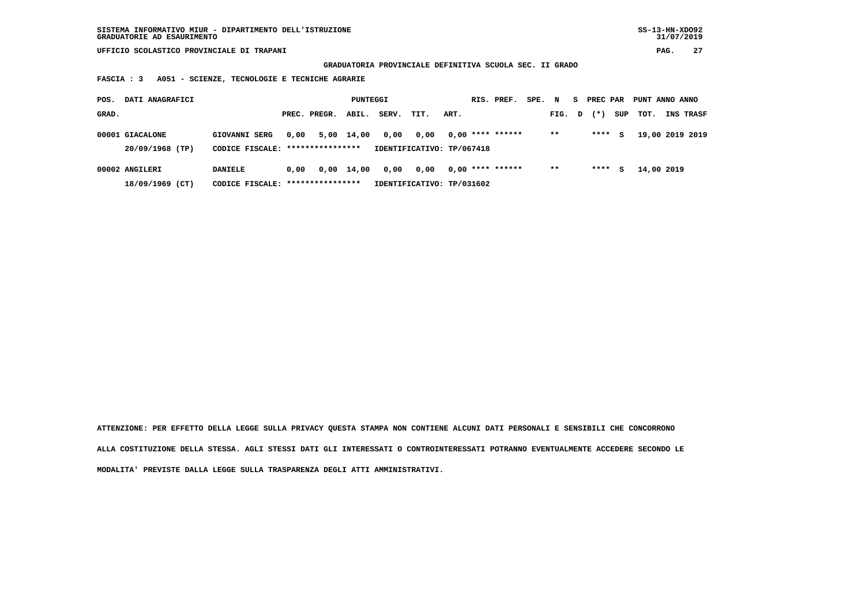**GRADUATORIA PROVINCIALE DEFINITIVA SCUOLA SEC. II GRADO**

 **FASCIA : 3 A051 - SCIENZE, TECNOLOGIE E TECNICHE AGRARIE**

| POS.  | DATI ANAGRAFICI                    |                                                   |      |              | PUNTEGGI   |       |                                   |      | RIS. PREF.         | SPE. | $\mathbf N$ | S.           | PREC PAR |     | PUNT ANNO ANNO |            |                  |
|-------|------------------------------------|---------------------------------------------------|------|--------------|------------|-------|-----------------------------------|------|--------------------|------|-------------|--------------|----------|-----|----------------|------------|------------------|
| GRAD. |                                    |                                                   |      | PREC. PREGR. | ABIL.      | SERV. | TIT.                              | ART. |                    |      | FIG.        | $\mathbf{D}$ | $(*)$    | SUP | тот.           |            | <b>INS TRASF</b> |
|       | 00001 GIACALONE<br>20/09/1968 (TP) | GIOVANNI SERG<br>CODICE FISCALE: **************** | 0.00 |              | 5,00 14,00 | 0,00  | 0.00<br>IDENTIFICATIVO: TP/067418 |      | $0.00$ **** ****** |      | $* *$       |              | ****     | s   |                |            | 19,00 2019 2019  |
|       | 00002 ANGILERI<br>18/09/1969 (CT)  | DANIELE<br>CODICE FISCALE: *****************      | 0.00 |              | 0,00 14,00 | 0,00  | 0.00<br>IDENTIFICATIVO: TP/031602 |      | $0.00$ **** ****** |      | $* *$       |              | ****     | S   |                | 14,00 2019 |                  |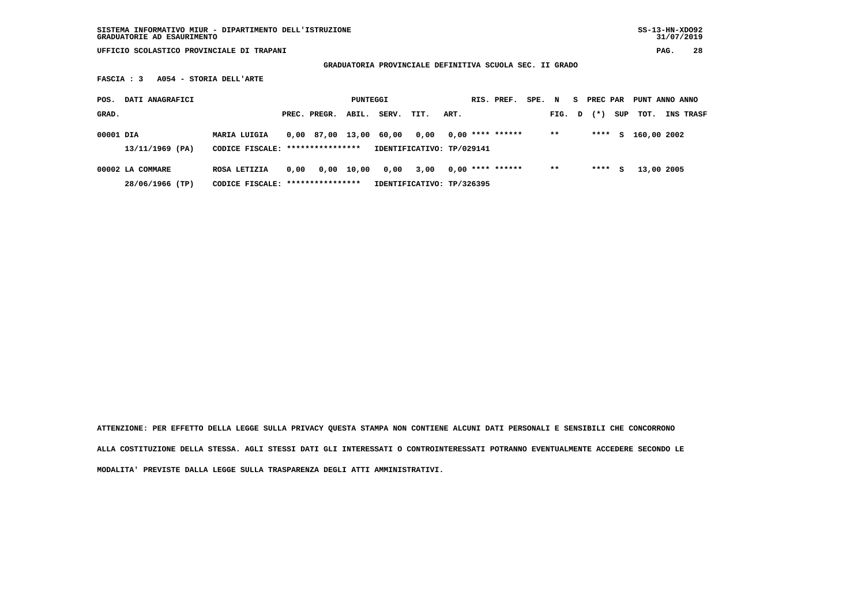**GRADUATORIA PROVINCIALE DEFINITIVA SCUOLA SEC. II GRADO**

 **FASCIA : 3 A054 - STORIA DELL'ARTE**

| POS.      | DATI ANAGRAFICI                     |                                                   |      |                        | PUNTEGGI   |       |                                   |      | RIS. PREF.         | SPE. N |        | S. | PREC PAR |     | PUNT ANNO ANNO |                  |
|-----------|-------------------------------------|---------------------------------------------------|------|------------------------|------------|-------|-----------------------------------|------|--------------------|--------|--------|----|----------|-----|----------------|------------------|
| GRAD.     |                                     |                                                   |      | PREC. PREGR.           | ABIL.      | SERV. | TIT.                              | ART. |                    |        | FIG. D |    | $(* )$   | SUP | тот.           | <b>INS TRASF</b> |
| 00001 DIA | 13/11/1969 (PA)                     | MARIA LUIGIA<br>CODICE FISCALE: ****************  |      | 0,00 87,00 13,00 60,00 |            |       | 0,00<br>IDENTIFICATIVO: TP/029141 |      | $0,00$ **** ****** |        | $***$  |    | ****     | s   | 160,00 2002    |                  |
|           | 00002 LA COMMARE<br>28/06/1966 (TP) | ROSA LETIZIA<br>CODICE FISCALE: ***************** | 0.00 |                        | 0,00 10,00 | 0,00  | 3,00<br>IDENTIFICATIVO: TP/326395 |      | $0.00$ **** ****** |        | $***$  |    | ****     | s   | 13,00 2005     |                  |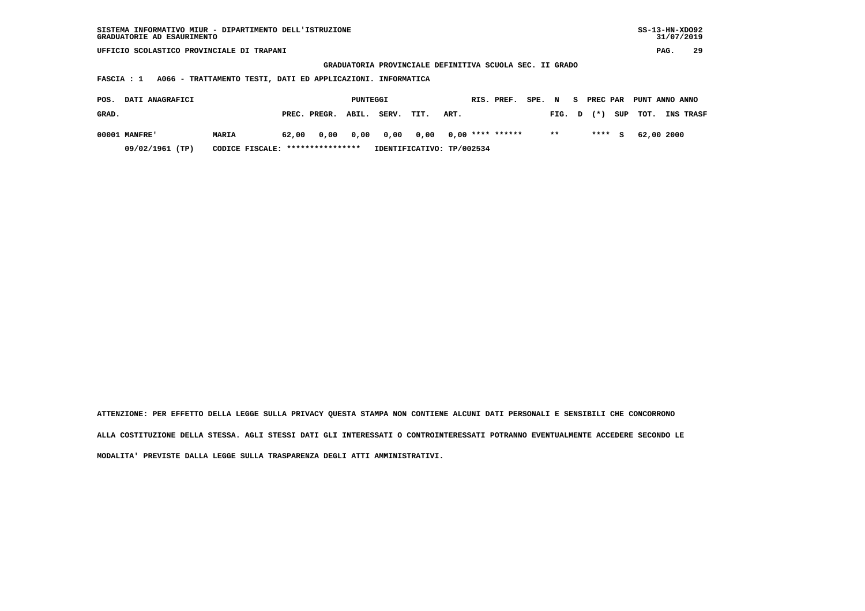| SISTEMA INFORMATIVO MIUR - DIPARTIMENTO DELL'ISTRUZIONE<br>GRADUATORIE AD ESAURIMENTO |                                   |       |              |          |                                                         |                           |      |  |                    |        |       |    |          |     | $SS-13-HN-XDO92$ |      | 31/07/2019 |
|---------------------------------------------------------------------------------------|-----------------------------------|-------|--------------|----------|---------------------------------------------------------|---------------------------|------|--|--------------------|--------|-------|----|----------|-----|------------------|------|------------|
| UFFICIO SCOLASTICO PROVINCIALE DI TRAPANI                                             |                                   |       |              |          |                                                         |                           |      |  |                    |        |       |    |          |     |                  | PAG. | -29        |
|                                                                                       |                                   |       |              |          | GRADUATORIA PROVINCIALE DEFINITIVA SCUOLA SEC. II GRADO |                           |      |  |                    |        |       |    |          |     |                  |      |            |
| A066 - TRATTAMENTO TESTI, DATI ED APPLICAZIONI. INFORMATICA<br><b>FASCIA : 1</b>      |                                   |       |              |          |                                                         |                           |      |  |                    |        |       |    |          |     |                  |      |            |
| DATI ANAGRAFICI<br>POS.                                                               |                                   |       |              | PUNTEGGI |                                                         |                           |      |  | RIS. PREF.         | SPE. N |       | S. | PREC PAR |     | PUNT ANNO ANNO   |      |            |
| GRAD.                                                                                 |                                   |       | PREC. PREGR. | ABIL.    | SERV.                                                   | TIT.                      | ART. |  |                    |        | FIG.  | D  | $(* )$   | SUP | TOT.             |      | INS TRASF  |
| 00001 MANFRE'                                                                         | MARIA                             | 62,00 | 0,00         | 0,00     | 0,00                                                    | 0,00                      |      |  | $0,00$ **** ****** |        | $***$ |    | ****     | s   | 62,00 2000       |      |            |
| 09/02/1961 (TP)                                                                       | CODICE FISCALE: ***************** |       |              |          |                                                         | IDENTIFICATIVO: TP/002534 |      |  |                    |        |       |    |          |     |                  |      |            |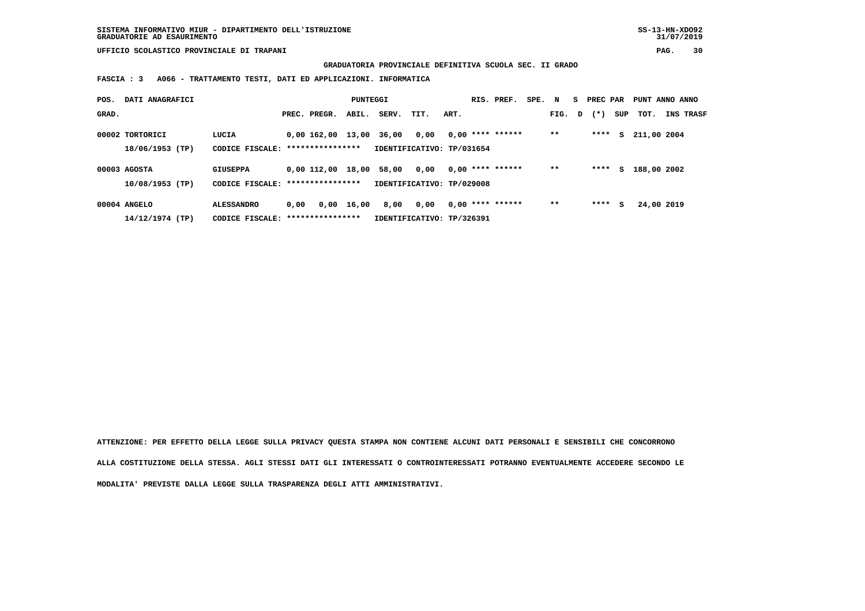**SISTEMA INFORMATIVO MIUR - DIPARTIMENTO DELL'ISTRUZIONE SS-13-HN-XDO92 GRADUATORIE AD ESAURIMENTO 31/07/2019**

 **UFFICIO SCOLASTICO PROVINCIALE DI TRAPANI PAG. 30**

 **GRADUATORIA PROVINCIALE DEFINITIVA SCUOLA SEC. II GRADO**

 **FASCIA : 3 A066 - TRATTAMENTO TESTI, DATI ED APPLICAZIONI. INFORMATICA**

| POS.  | DATI ANAGRAFICI                    |                                                       |      |                   | PUNTEGGI |       |                                   |      | RIS. PREF.         | SPE. N |        | S PREC PAR |     | PUNT ANNO ANNO |                  |
|-------|------------------------------------|-------------------------------------------------------|------|-------------------|----------|-------|-----------------------------------|------|--------------------|--------|--------|------------|-----|----------------|------------------|
| GRAD. |                                    |                                                       |      | PREC. PREGR.      | ABIL.    | SERV. | TIT.                              | ART. |                    |        | FIG. D | $(* )$     | SUP | тот.           | <b>INS TRASF</b> |
|       | 00002 TORTORICI<br>18/06/1953 (TP) | LUCIA<br>CODICE FISCALE: *****************            |      | 0,00 162,00 13,00 |          | 36,00 | 0,00<br>IDENTIFICATIVO: TP/031654 |      | $0,00$ **** ****** |        | $* *$  | ****       | s   | 211,00 2004    |                  |
|       | 00003 AGOSTA<br>10/08/1953 (TP)    | <b>GIUSEPPA</b><br>CODICE FISCALE: *****************  |      | 0,00 112,00       | 18,00    | 58,00 | 0,00<br>IDENTIFICATIVO: TP/029008 |      | $0.00$ **** ****** |        | $* *$  | ****       | s   | 188,00 2002    |                  |
|       | 00004 ANGELO<br>14/12/1974 (TP)    | <b>ALESSANDRO</b><br>CODICE FISCALE: **************** | 0.00 | 0,00              | 16,00    | 8,00  | 0.00<br>IDENTIFICATIVO: TP/326391 |      | $0,00$ **** ****** |        | $**$   | ****       | s   | 24,00 2019     |                  |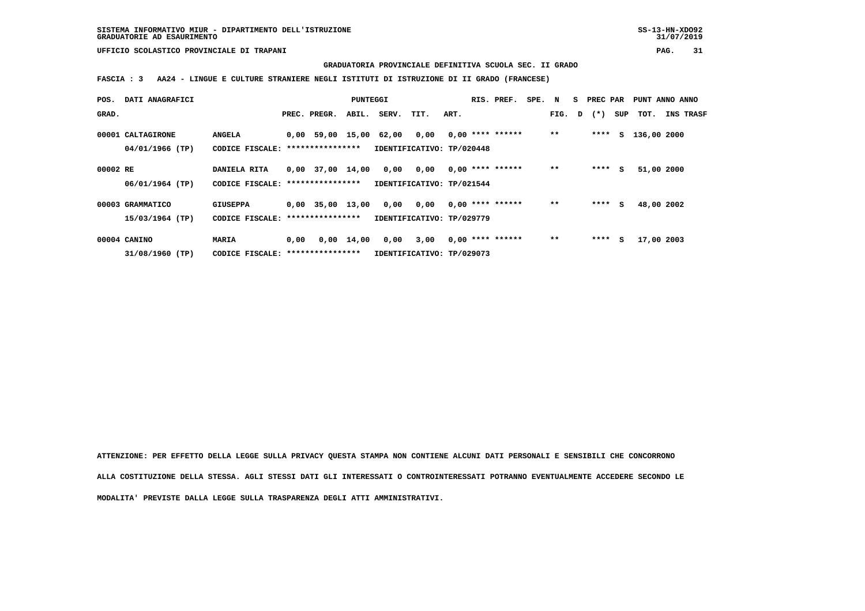**GRADUATORIA PROVINCIALE DEFINITIVA SCUOLA SEC. II GRADO**

 **FASCIA : 3 AA24 - LINGUE E CULTURE STRANIERE NEGLI ISTITUTI DI ISTRUZIONE DI II GRADO (FRANCESE)**

| POS.     | DATI ANAGRAFICI   |                                   |      |                    | PUNTEGGI           |                           |                           |      | RIS. PREF.         | SPE. N |        | <b>S</b> | PREC PAR  |     | PUNT ANNO ANNO |                  |
|----------|-------------------|-----------------------------------|------|--------------------|--------------------|---------------------------|---------------------------|------|--------------------|--------|--------|----------|-----------|-----|----------------|------------------|
| GRAD.    |                   |                                   |      | PREC. PREGR.       | ABIL.              | SERV.                     | TIT.                      | ART. |                    |        | FIG. D |          | $(\star)$ | SUP | тот.           | <b>INS TRASF</b> |
|          | 00001 CALTAGIRONE | <b>ANGELA</b>                     |      | 0,00 59,00 15,00   |                    | 62,00                     | 0,00                      |      | $0,00$ **** ****** |        | $* *$  |          | ****      |     | S 136,00 2000  |                  |
|          | 04/01/1966 (TP)   | CODICE FISCALE: ***************** |      |                    |                    | IDENTIFICATIVO: TP/020448 |                           |      |                    |        |        |          |           |     |                |                  |
| 00002 RE |                   | DANIELA RITA                      |      | $0,00$ 37,00 14,00 |                    | 0,00                      | 0,00                      |      | $0,00$ **** ****** |        | $**$   |          | ****      | s   | 51,00 2000     |                  |
|          | 06/01/1964 (TP)   | CODICE FISCALE: ***************** |      |                    |                    | IDENTIFICATIVO: TP/021544 |                           |      |                    |        |        |          |           |     |                |                  |
|          | 00003 GRAMMATICO  | <b>GIUSEPPA</b>                   |      | $0.00$ 35.00 13.00 |                    | 0,00                      | 0,00                      |      | $0,00$ **** ****** |        | $**$   |          | ****      | s   | 48,00 2002     |                  |
|          | 15/03/1964 (TP)   | CODICE FISCALE: ****************  |      |                    |                    | IDENTIFICATIVO: TP/029779 |                           |      |                    |        |        |          |           |     |                |                  |
|          | 00004 CANINO      | MARIA                             | 0,00 |                    | $0,00 \quad 14,00$ | 0,00                      | 3,00                      |      | $0,00$ **** ****** |        | $**$   |          | ****      | s   | 17,00 2003     |                  |
|          | 31/08/1960 (TP)   | CODICE FISCALE: ***************** |      |                    |                    |                           | IDENTIFICATIVO: TP/029073 |      |                    |        |        |          |           |     |                |                  |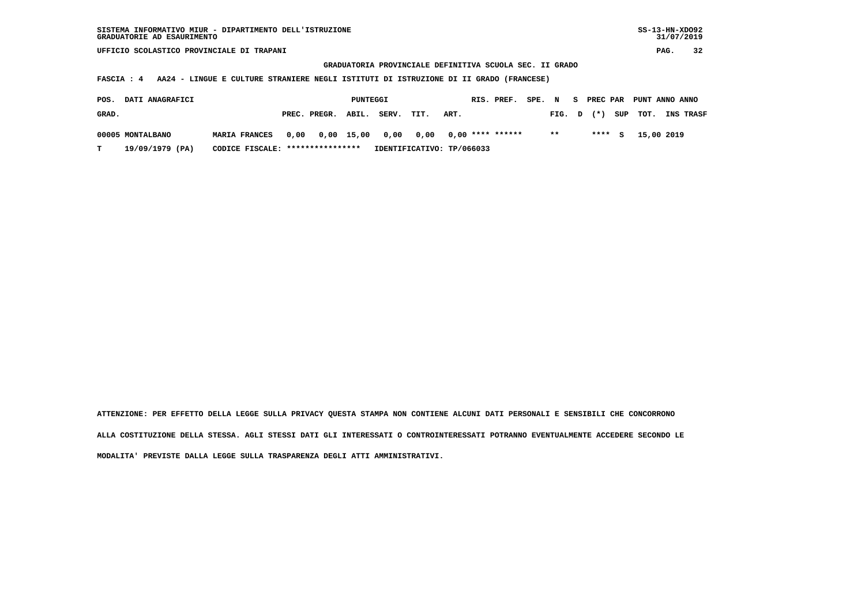**GRADUATORIA PROVINCIALE DEFINITIVA SCUOLA SEC. II GRADO**

 **FASCIA : 4 AA24 - LINGUE E CULTURE STRANIERE NEGLI ISTITUTI DI ISTRUZIONE DI II GRADO (FRANCESE)**

| POS.  | <b>DATI ANAGRAFICI</b> |                                  |                                                               | PUNTEGGI |       |                           |      | RIS. PREF. | SPE. N |        |         | S PREC PAR PUNT ANNO ANNO |                  |
|-------|------------------------|----------------------------------|---------------------------------------------------------------|----------|-------|---------------------------|------|------------|--------|--------|---------|---------------------------|------------------|
| GRAD. |                        |                                  | PREC. PREGR. ABIL.                                            |          | SERV. | TIT.                      | ART. |            |        | FIG. D |         | (*) SUP TOT.              | <b>INS TRASF</b> |
|       | 00005 MONTALBANO       | <b>MARIA FRANCES</b>             | $0.00$ $0.00$ $15.00$ $0.00$ $0.00$ $0.00$ $****$ **** ****** |          |       |                           |      |            |        | $***$  | $***$ S | 15,00 2019                |                  |
| T.    | 19/09/1979 (PA)        | CODICE FISCALE: **************** |                                                               |          |       | IDENTIFICATIVO: TP/066033 |      |            |        |        |         |                           |                  |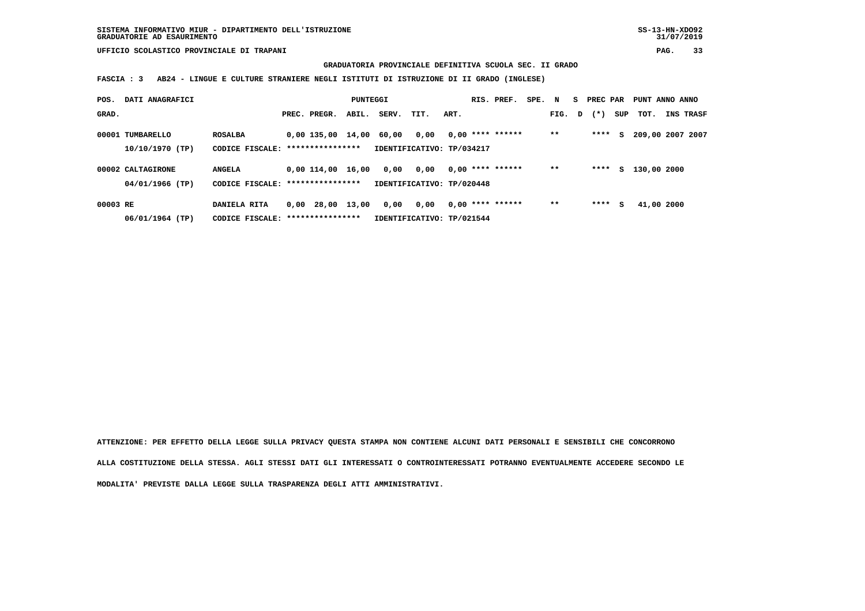**GRADUATORIA PROVINCIALE DEFINITIVA SCUOLA SEC. II GRADO**

 **FASCIA : 3 AB24 - LINGUE E CULTURE STRANIERE NEGLI ISTITUTI DI ISTRUZIONE DI II GRADO (INGLESE)**

| POS.     | DATI ANAGRAFICI   |                                   |      |                   | PUNTEGGI |       |                           |      | RIS. PREF.         | SPE. | N      | PREC PAR |     | PUNT ANNO ANNO   |                  |
|----------|-------------------|-----------------------------------|------|-------------------|----------|-------|---------------------------|------|--------------------|------|--------|----------|-----|------------------|------------------|
| GRAD.    |                   |                                   |      | PREC. PREGR.      | ABIL.    | SERV. | TIT.                      | ART. |                    |      | FIG. D | $(*)$    | SUP | TOT.             | <b>INS TRASF</b> |
|          | 00001 TUMBARELLO  | <b>ROSALBA</b>                    |      | 0,00 135,00 14,00 |          | 60.00 | 0,00                      |      | $0,00$ **** ****** |      | $**$   | ****     | s   | 209,00 2007 2007 |                  |
|          | 10/10/1970 (TP)   | CODICE FISCALE: ****************  |      |                   |          |       | IDENTIFICATIVO: TP/034217 |      |                    |      |        |          |     |                  |                  |
|          | 00002 CALTAGIRONE | <b>ANGELA</b>                     |      | 0.00 114.00       | 16,00    | 0,00  | 0,00                      |      | $0.00$ **** ****** |      | $* *$  | ****     | s   | 130,00 2000      |                  |
|          | 04/01/1966 (TP)   | CODICE FISCALE: ***************** |      |                   |          |       | IDENTIFICATIVO: TP/020448 |      |                    |      |        |          |     |                  |                  |
| 00003 RE |                   | DANIELA RITA                      | 0,00 | 28,00             | 13,00    | 0,00  | 0.00                      |      | $0.00$ **** ****** |      | $* *$  | ****     | s   | 41,00 2000       |                  |
|          | 06/01/1964 (TP)   | CODICE FISCALE: ****************  |      |                   |          |       | IDENTIFICATIVO: TP/021544 |      |                    |      |        |          |     |                  |                  |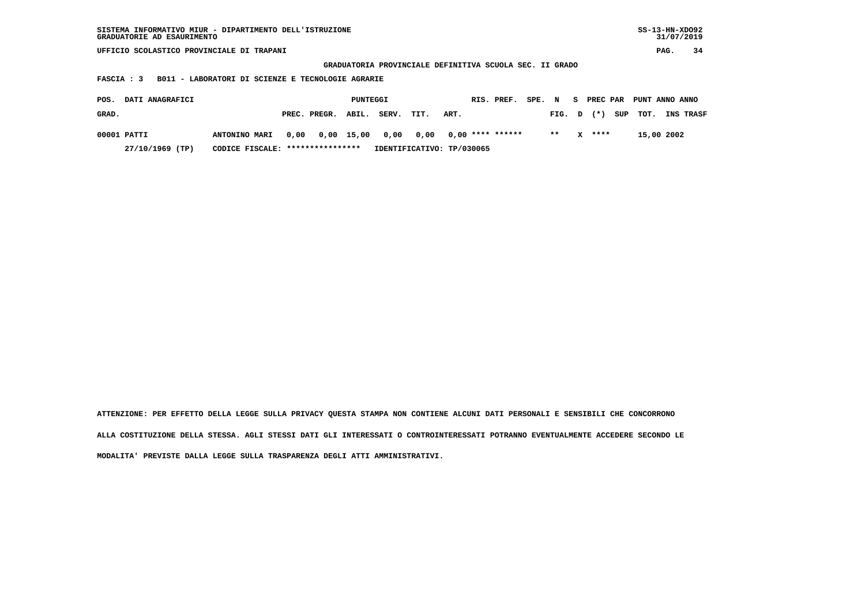| SISTEMA INFORMATIVO MIUR - DIPARTIMENTO DELL'ISTRUZIONE<br>GRADUATORIE AD ESAURIMENTO |                 |                       |          |      |                           |            |        |        |   |            |     | $SS-13-HN-XDO92$<br>31/07/2019 |            |           |  |
|---------------------------------------------------------------------------------------|-----------------|-----------------------|----------|------|---------------------------|------------|--------|--------|---|------------|-----|--------------------------------|------------|-----------|--|
| UFFICIO SCOLASTICO PROVINCIALE DI TRAPANI                                             |                 |                       |          |      |                           |            |        |        |   |            |     |                                | PAG.       | 34        |  |
| GRADUATORIA PROVINCIALE DEFINITIVA SCUOLA SEC. II GRADO                               |                 |                       |          |      |                           |            |        |        |   |            |     |                                |            |           |  |
| B011 - LABORATORI DI SCIENZE E TECNOLOGIE AGRARIE<br>FASCIA : 3                       |                 |                       |          |      |                           |            |        |        |   |            |     |                                |            |           |  |
|                                                                                       |                 |                       |          |      |                           |            |        |        |   |            |     |                                |            |           |  |
| DATI ANAGRAFICI<br>POS.                                                               |                 |                       | PUNTEGGI |      |                           | RIS. PREF. | SPE. N |        |   | S PREC PAR |     | PUNT ANNO ANNO                 |            |           |  |
| GRAD.                                                                                 |                 | PREC. PREGR.<br>ABIL. | SERV.    | TIT. | ART.                      |            |        | FIG. D |   | $(* )$     | SUP | тот.                           |            | INS TRASF |  |
| 00001 PATTI<br>ANTONINO MARI                                                          | 0,00            | $0,00$ 15,00          | 0,00     | 0,00 | $0,00$ **** ******        |            |        | $* *$  | x | ****       |     |                                | 15,00 2002 |           |  |
| 27/10/1969 (TP)                                                                       | CODICE FISCALE: | ****************      |          |      | IDENTIFICATIVO: TP/030065 |            |        |        |   |            |     |                                |            |           |  |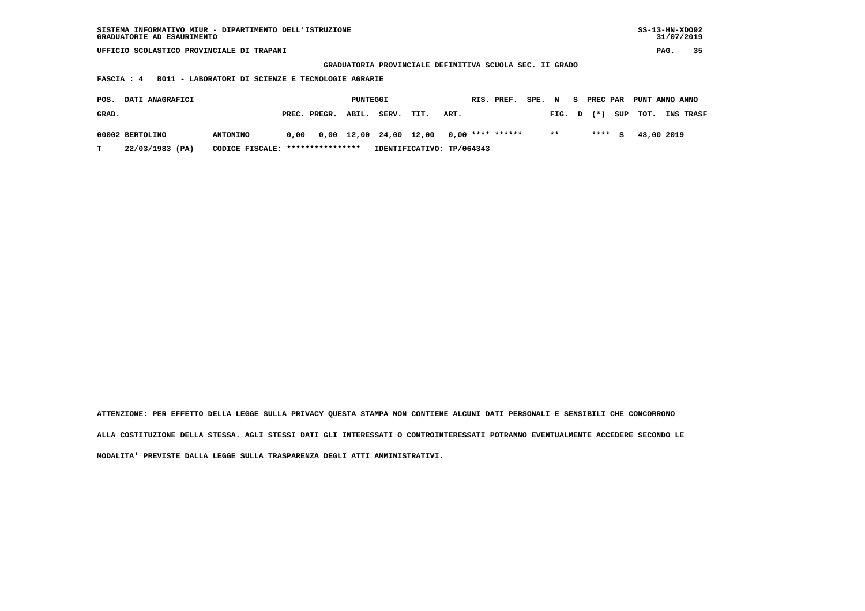| SISTEMA INFORMATIVO MIUR - DIPARTIMENTO DELL'ISTRUZIONE<br>GRADUATORIE AD ESAURIMENTO |                       |                           |                    |                  |                                 |  |  |  |  |  |  |  |
|---------------------------------------------------------------------------------------|-----------------------|---------------------------|--------------------|------------------|---------------------------------|--|--|--|--|--|--|--|
| UFFICIO SCOLASTICO PROVINCIALE DI TRAPANI                                             |                       |                           |                    |                  |                                 |  |  |  |  |  |  |  |
| GRADUATORIA PROVINCIALE DEFINITIVA SCUOLA SEC. II GRADO                               |                       |                           |                    |                  |                                 |  |  |  |  |  |  |  |
| B011 - LABORATORI DI SCIENZE E TECNOLOGIE AGRARIE<br>FASCIA : 4                       |                       |                           |                    |                  |                                 |  |  |  |  |  |  |  |
| S PREC PAR<br>DATI ANAGRAFICI<br>PUNTEGGI<br>SPE. N                                   |                       |                           |                    |                  |                                 |  |  |  |  |  |  |  |
| POS.                                                                                  |                       |                           | RIS. PREF.         |                  | PUNT ANNO ANNO                  |  |  |  |  |  |  |  |
| GRAD.                                                                                 | ABIL.<br>PREC. PREGR. | SERV.<br>ART.<br>TIT.     |                    | $(* )$<br>FIG. D | SUP<br>TOT.<br><b>INS TRASF</b> |  |  |  |  |  |  |  |
|                                                                                       |                       |                           |                    |                  |                                 |  |  |  |  |  |  |  |
| 00002 BERTOLINO<br><b>ANTONINO</b>                                                    | 0,00                  | 0,00 12,00 24,00 12,00    | $0,00$ **** ****** | $* *$<br>**** S  | 48,00 2019                      |  |  |  |  |  |  |  |
| 22/03/1983 (PA)<br>т<br>CODICE FISCALE:                                               | ****************      | IDENTIFICATIVO: TP/064343 |                    |                  |                                 |  |  |  |  |  |  |  |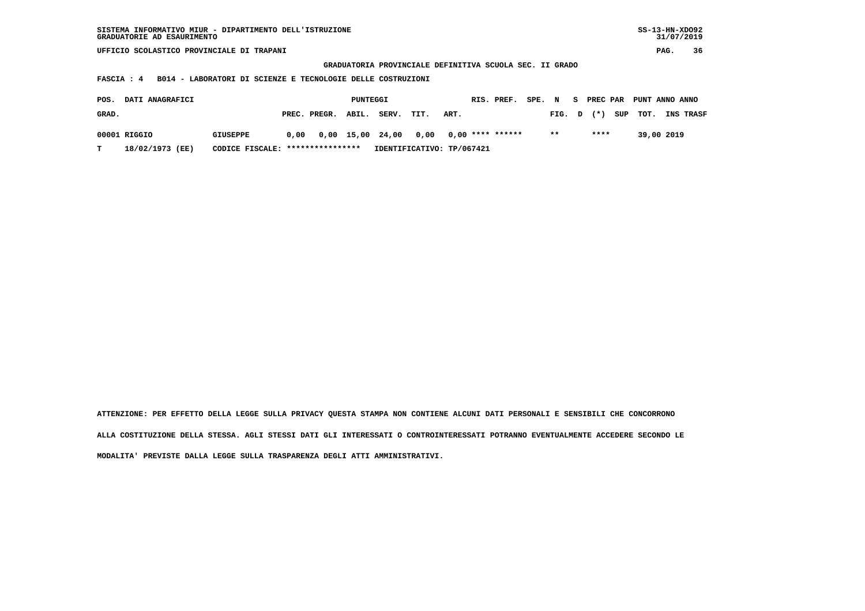| SISTEMA INFORMATIVO MIUR - DIPARTIMENTO DELL'ISTRUZIONE<br>GRADUATORIE AD ESAURIMENTO |                                   |                       |                           |                    |        |           |               |                   |  |  |  |  |
|---------------------------------------------------------------------------------------|-----------------------------------|-----------------------|---------------------------|--------------------|--------|-----------|---------------|-------------------|--|--|--|--|
| UFFICIO SCOLASTICO PROVINCIALE DI TRAPANI                                             |                                   |                       |                           |                    |        |           |               |                   |  |  |  |  |
| GRADUATORIA PROVINCIALE DEFINITIVA SCUOLA SEC. II GRADO                               |                                   |                       |                           |                    |        |           |               |                   |  |  |  |  |
| B014 - LABORATORI DI SCIENZE E TECNOLOGIE DELLE COSTRUZIONI<br>FASCIA : 4             |                                   |                       |                           |                    |        |           |               |                   |  |  |  |  |
| DATI ANAGRAFICI<br>POS.                                                               |                                   | PUNTEGGI              |                           | RIS. PREF.         | SPE. N | S.        | PREC PAR      | PUNT ANNO ANNO    |  |  |  |  |
| GRAD.                                                                                 |                                   | PREC. PREGR.<br>ABIL. | SERV.<br>TIT.             | ART.               |        | D<br>FIG. | SUP<br>$(* )$ | тот.<br>INS TRASF |  |  |  |  |
| 00001 RIGGIO                                                                          | 0.00<br><b>GIUSEPPE</b>           | 0,00 15,00 24,00      | 0,00                      | $0,00$ **** ****** | $**$   |           | ****          | 39,00 2019        |  |  |  |  |
| 18/02/1973 (EE)<br>т                                                                  | CODICE FISCALE: ***************** |                       | IDENTIFICATIVO: TP/067421 |                    |        |           |               |                   |  |  |  |  |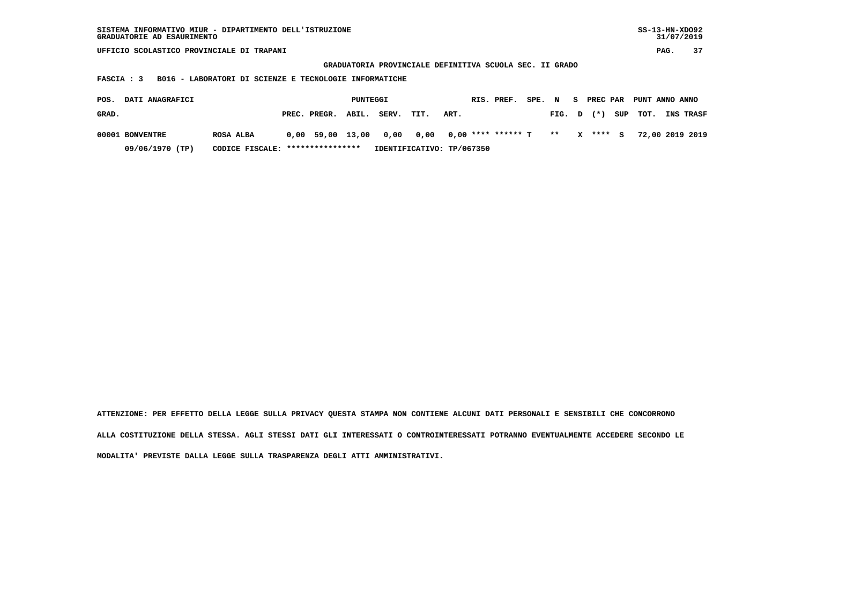| SISTEMA INFORMATIVO MIUR - DIPARTIMENTO DELL'ISTRUZIONE<br>GRADUATORIE AD ESAURIMENTO |                                   |  |                  |       |       |                           |      |  |                      |                |        | $SS-13-HN-XDO92$<br>31/07/2019 |              |      |                 |  |           |
|---------------------------------------------------------------------------------------|-----------------------------------|--|------------------|-------|-------|---------------------------|------|--|----------------------|----------------|--------|--------------------------------|--------------|------|-----------------|--|-----------|
| UFFICIO SCOLASTICO PROVINCIALE DI TRAPANI                                             |                                   |  |                  |       |       |                           |      |  |                      |                |        |                                |              | PAG. | 37              |  |           |
| GRADUATORIA PROVINCIALE DEFINITIVA SCUOLA SEC. II GRADO                               |                                   |  |                  |       |       |                           |      |  |                      |                |        |                                |              |      |                 |  |           |
| B016 - LABORATORI DI SCIENZE E TECNOLOGIE INFORMATICHE<br>FASCIA : 3                  |                                   |  |                  |       |       |                           |      |  |                      |                |        |                                |              |      |                 |  |           |
| DATI ANAGRAFICI<br>PUNTEGGI<br>SPE. N<br>PREC PAR<br>RIS. PREF.<br>S.<br>POS.         |                                   |  |                  |       |       |                           |      |  |                      | PUNT ANNO ANNO |        |                                |              |      |                 |  |           |
|                                                                                       |                                   |  |                  |       |       |                           |      |  |                      |                |        |                                |              |      |                 |  |           |
| GRAD.                                                                                 |                                   |  | PREC. PREGR.     | ABIL. | SERV. | TIT.                      | ART. |  |                      |                | FIG. D |                                | $(* )$       | SUP  | TOT.            |  | INS TRASF |
| 00001 BONVENTRE                                                                       | <b>ROSA ALBA</b>                  |  | 0,00 59,00 13,00 |       | 0,00  | 0,00                      |      |  | $0,00$ **** ****** T |                | $* *$  |                                | $X$ **** $S$ |      | 72,00 2019 2019 |  |           |
|                                                                                       |                                   |  |                  |       |       |                           |      |  |                      |                |        |                                |              |      |                 |  |           |
| 09/06/1970 (TP)                                                                       | CODICE FISCALE: ***************** |  |                  |       |       | IDENTIFICATIVO: TP/067350 |      |  |                      |                |        |                                |              |      |                 |  |           |